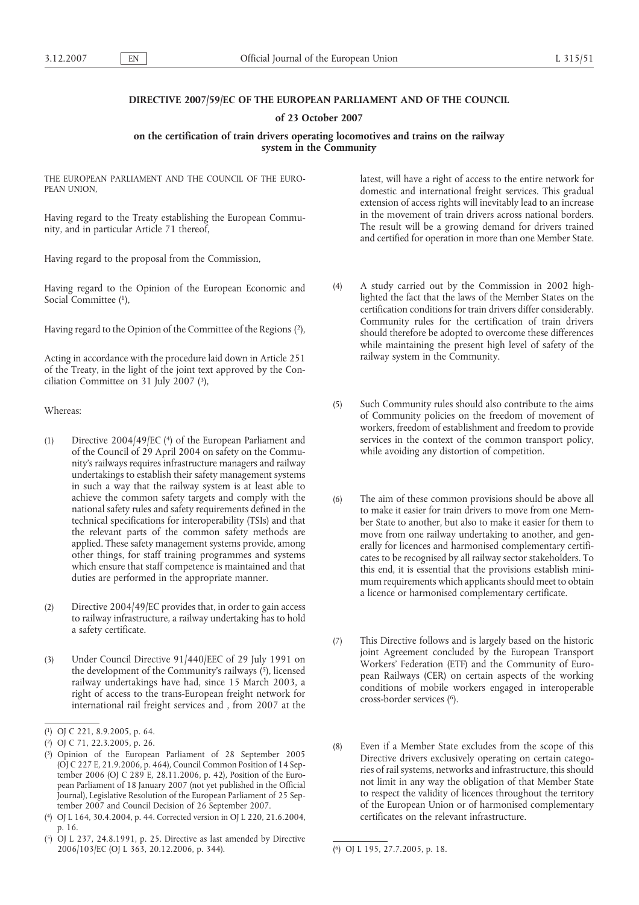# **DIRECTIVE 2007/59/EC OF THE EUROPEAN PARLIAMENT AND OF THE COUNCIL**

## **of 23 October 2007**

# **on the certification of train drivers operating locomotives and trains on the railway system in the Community**

THE EUROPEAN PARLIAMENT AND THE COUNCIL OF THE EURO-PEAN UNION,

Having regard to the Treaty establishing the European Community, and in particular Article 71 thereof,

Having regard to the proposal from the Commission,

Having regard to the Opinion of the European Economic and Social Committee (1),

Having regard to the Opinion of the Committee of the Regions (2),

Acting in accordance with the procedure laid down in Article 251 of the Treaty, in the light of the joint text approved by the Conciliation Committee on 31 July 2007 (3),

Whereas:

- (1) Directive 2004/49/EC (4) of the European Parliament and of the Council of 29 April 2004 on safety on the Community's railways requires infrastructure managers and railway undertakings to establish their safety management systems in such a way that the railway system is at least able to achieve the common safety targets and comply with the national safety rules and safety requirements defined in the technical specifications for interoperability (TSIs) and that the relevant parts of the common safety methods are applied. These safety management systems provide, among other things, for staff training programmes and systems which ensure that staff competence is maintained and that duties are performed in the appropriate manner.
- (2) Directive 2004/49/EC provides that, in order to gain access to railway infrastructure, a railway undertaking has to hold a safety certificate.
- (3) Under Council Directive 91/440/EEC of 29 July 1991 on the development of the Community's railways (5), licensed railway undertakings have had, since 15 March 2003, a right of access to the trans-European freight network for international rail freight services and , from 2007 at the

latest, will have a right of access to the entire network for domestic and international freight services. This gradual extension of access rights will inevitably lead to an increase in the movement of train drivers across national borders. The result will be a growing demand for drivers trained and certified for operation in more than one Member State.

- (4) A study carried out by the Commission in 2002 highlighted the fact that the laws of the Member States on the certification conditions for train drivers differ considerably. Community rules for the certification of train drivers should therefore be adopted to overcome these differences while maintaining the present high level of safety of the railway system in the Community.
- (5) Such Community rules should also contribute to the aims of Community policies on the freedom of movement of workers, freedom of establishment and freedom to provide services in the context of the common transport policy, while avoiding any distortion of competition.
- (6) The aim of these common provisions should be above all to make it easier for train drivers to move from one Member State to another, but also to make it easier for them to move from one railway undertaking to another, and generally for licences and harmonised complementary certificates to be recognised by all railway sector stakeholders. To this end, it is essential that the provisions establish minimum requirements which applicants should meet to obtain a licence or harmonised complementary certificate.
- (7) This Directive follows and is largely based on the historic joint Agreement concluded by the European Transport Workers' Federation (ETF) and the Community of European Railways (CER) on certain aspects of the working conditions of mobile workers engaged in interoperable cross-border services (6).
- (8) Even if a Member State excludes from the scope of this Directive drivers exclusively operating on certain categories of rail systems, networks and infrastructure, this should not limit in any way the obligation of that Member State to respect the validity of licences throughout the territory of the European Union or of harmonised complementary certificates on the relevant infrastructure.

<sup>(</sup> 1) OJ C 221, 8.9.2005, p. 64.

<sup>(</sup> 2) OJ C 71, 22.3.2005, p. 26.

<sup>(</sup> 3) Opinion of the European Parliament of 28 September 2005 (OJ C 227 E, 21.9.2006, p. 464), Council Common Position of 14 September 2006 (OJ C 289 E, 28.11.2006, p. 42), Position of the European Parliament of 18 January 2007 (not yet published in the Official Journal), Legislative Resolution of the European Parliament of 25 September 2007 and Council Decision of 26 September 2007.

<sup>(</sup> 4) OJ L 164, 30.4.2004, p. 44. Corrected version in OJ L 220, 21.6.2004, p. 16.

<sup>(</sup> 5) OJ L 237, 24.8.1991, p. 25. Directive as last amended by Directive 2006/103/EC (OJ L 363, 20.12.2006, p. 344). (

<sup>6)</sup> OJ L 195, 27.7.2005, p. 18.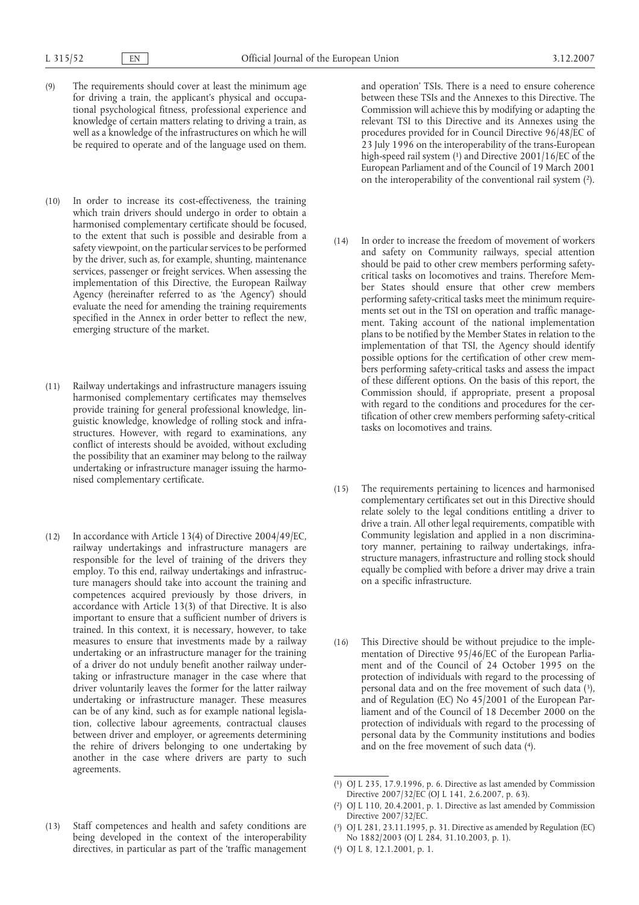- (9) The requirements should cover at least the minimum age for driving a train, the applicant's physical and occupational psychological fitness, professional experience and knowledge of certain matters relating to driving a train, as well as a knowledge of the infrastructures on which he will be required to operate and of the language used on them.
- (10) In order to increase its cost-effectiveness, the training which train drivers should undergo in order to obtain a harmonised complementary certificate should be focused, to the extent that such is possible and desirable from a safety viewpoint, on the particular services to be performed by the driver, such as, for example, shunting, maintenance services, passenger or freight services. When assessing the implementation of this Directive, the European Railway Agency (hereinafter referred to as 'the Agency') should evaluate the need for amending the training requirements specified in the Annex in order better to reflect the new, emerging structure of the market.
- (11) Railway undertakings and infrastructure managers issuing harmonised complementary certificates may themselves provide training for general professional knowledge, linguistic knowledge, knowledge of rolling stock and infrastructures. However, with regard to examinations, any conflict of interests should be avoided, without excluding the possibility that an examiner may belong to the railway undertaking or infrastructure manager issuing the harmonised complementary certificate.
- (12) In accordance with Article 13(4) of Directive 2004/49/EC, railway undertakings and infrastructure managers are responsible for the level of training of the drivers they employ. To this end, railway undertakings and infrastructure managers should take into account the training and competences acquired previously by those drivers, in accordance with Article 13(3) of that Directive. It is also important to ensure that a sufficient number of drivers is trained. In this context, it is necessary, however, to take measures to ensure that investments made by a railway undertaking or an infrastructure manager for the training of a driver do not unduly benefit another railway undertaking or infrastructure manager in the case where that driver voluntarily leaves the former for the latter railway undertaking or infrastructure manager. These measures can be of any kind, such as for example national legislation, collective labour agreements, contractual clauses between driver and employer, or agreements determining the rehire of drivers belonging to one undertaking by another in the case where drivers are party to such agreements.
- (13) Staff competences and health and safety conditions are being developed in the context of the interoperability directives, in particular as part of the 'traffic management

and operation' TSIs. There is a need to ensure coherence between these TSIs and the Annexes to this Directive. The Commission will achieve this by modifying or adapting the relevant TSI to this Directive and its Annexes using the procedures provided for in Council Directive 96/48/EC of 23 July 1996 on the interoperability of the trans-European high-speed rail system (1) and Directive 2001/16/EC of the European Parliament and of the Council of 19 March 2001 on the interoperability of the conventional rail system (2).

- (14) In order to increase the freedom of movement of workers and safety on Community railways, special attention should be paid to other crew members performing safetycritical tasks on locomotives and trains. Therefore Member States should ensure that other crew members performing safety-critical tasks meet the minimum requirements set out in the TSI on operation and traffic management. Taking account of the national implementation plans to be notified by the Member States in relation to the implementation of that TSI, the Agency should identify possible options for the certification of other crew members performing safety-critical tasks and assess the impact of these different options. On the basis of this report, the Commission should, if appropriate, present a proposal with regard to the conditions and procedures for the certification of other crew members performing safety-critical tasks on locomotives and trains.
- (15) The requirements pertaining to licences and harmonised complementary certificates set out in this Directive should relate solely to the legal conditions entitling a driver to drive a train. All other legal requirements, compatible with Community legislation and applied in a non discriminatory manner, pertaining to railway undertakings, infrastructure managers, infrastructure and rolling stock should equally be complied with before a driver may drive a train on a specific infrastructure.
- (16) This Directive should be without prejudice to the implementation of Directive 95/46/EC of the European Parliament and of the Council of 24 October 1995 on the protection of individuals with regard to the processing of personal data and on the free movement of such data (3), and of Regulation (EC) No 45/2001 of the European Parliament and of the Council of 18 December 2000 on the protection of individuals with regard to the processing of personal data by the Community institutions and bodies and on the free movement of such data (4).

( 4) OJ L 8, 12.1.2001, p. 1.

<sup>(</sup> 1) OJ L 235, 17.9.1996, p. 6. Directive as last amended by Commission Directive 2007/32/EC (OJ L 141, 2.6.2007, p. 63).

 $\binom{2}{ }$ 2) OJ L 110, 20.4.2001, p. 1. Directive as last amended by Commission Directive 2007/32/EC.

<sup>(</sup> 3) OJ L 281, 23.11.1995, p. 31. Directive as amended by Regulation (EC) No 1882/2003 (OJ L 284, 31.10.2003, p. 1).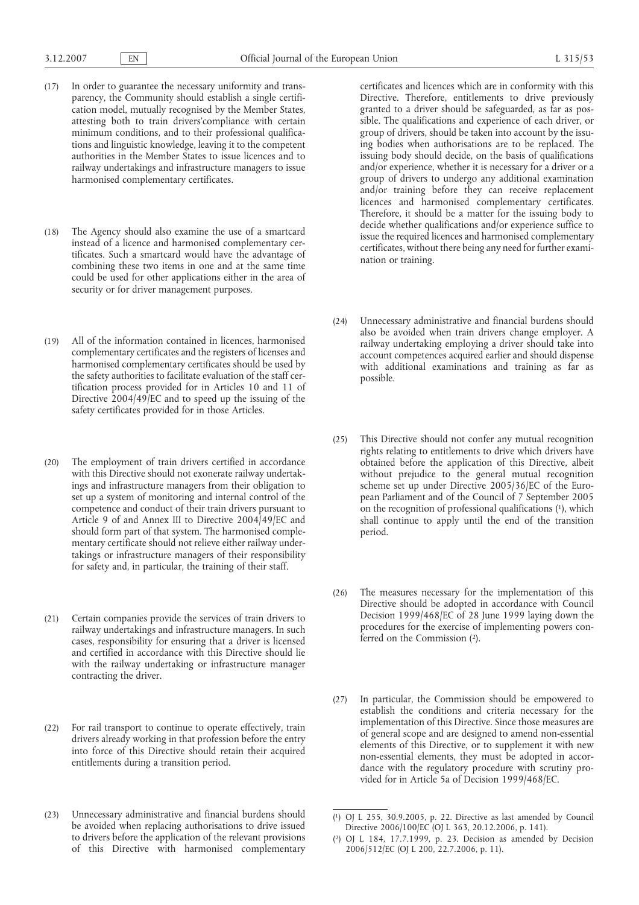- (17) In order to guarantee the necessary uniformity and transparency, the Community should establish a single certification model, mutually recognised by the Member States, attesting both to train drivers'compliance with certain minimum conditions, and to their professional qualifications and linguistic knowledge, leaving it to the competent authorities in the Member States to issue licences and to railway undertakings and infrastructure managers to issue harmonised complementary certificates.
- (18) The Agency should also examine the use of a smartcard instead of a licence and harmonised complementary certificates. Such a smartcard would have the advantage of combining these two items in one and at the same time could be used for other applications either in the area of security or for driver management purposes.
- (19) All of the information contained in licences, harmonised complementary certificates and the registers of licenses and harmonised complementary certificates should be used by the safety authorities to facilitate evaluation of the staff certification process provided for in Articles 10 and 11 of Directive 2004/49/EC and to speed up the issuing of the safety certificates provided for in those Articles.
- (20) The employment of train drivers certified in accordance with this Directive should not exonerate railway undertakings and infrastructure managers from their obligation to set up a system of monitoring and internal control of the competence and conduct of their train drivers pursuant to Article 9 of and Annex III to Directive 2004/49/EC and should form part of that system. The harmonised complementary certificate should not relieve either railway undertakings or infrastructure managers of their responsibility for safety and, in particular, the training of their staff.
- (21) Certain companies provide the services of train drivers to railway undertakings and infrastructure managers. In such cases, responsibility for ensuring that a driver is licensed and certified in accordance with this Directive should lie with the railway undertaking or infrastructure manager contracting the driver.
- (22) For rail transport to continue to operate effectively, train drivers already working in that profession before the entry into force of this Directive should retain their acquired entitlements during a transition period.
- (23) Unnecessary administrative and financial burdens should be avoided when replacing authorisations to drive issued to drivers before the application of the relevant provisions of this Directive with harmonised complementary

certificates and licences which are in conformity with this Directive. Therefore, entitlements to drive previously granted to a driver should be safeguarded, as far as possible. The qualifications and experience of each driver, or group of drivers, should be taken into account by the issuing bodies when authorisations are to be replaced. The issuing body should decide, on the basis of qualifications and/or experience, whether it is necessary for a driver or a group of drivers to undergo any additional examination and/or training before they can receive replacement licences and harmonised complementary certificates. Therefore, it should be a matter for the issuing body to decide whether qualifications and/or experience suffice to issue the required licences and harmonised complementary certificates, without there being any need for further examination or training.

- (24) Unnecessary administrative and financial burdens should also be avoided when train drivers change employer. A railway undertaking employing a driver should take into account competences acquired earlier and should dispense with additional examinations and training as far as possible.
- (25) This Directive should not confer any mutual recognition rights relating to entitlements to drive which drivers have obtained before the application of this Directive, albeit without prejudice to the general mutual recognition scheme set up under Directive 2005/36/EC of the European Parliament and of the Council of 7 September 2005 on the recognition of professional qualifications (1), which shall continue to apply until the end of the transition period.
- (26) The measures necessary for the implementation of this Directive should be adopted in accordance with Council Decision 1999/468/EC of 28 June 1999 laying down the procedures for the exercise of implementing powers conferred on the Commission (2).
- (27) In particular, the Commission should be empowered to establish the conditions and criteria necessary for the implementation of this Directive. Since those measures are of general scope and are designed to amend non-essential elements of this Directive, or to supplement it with new non-essential elements, they must be adopted in accordance with the regulatory procedure with scrutiny provided for in Article 5a of Decision 1999/468/EC.

<sup>(</sup> 1) OJ L 255, 30.9.2005, p. 22. Directive as last amended by Council Directive 2006/100/EC (OJ L 363, 20.12.2006, p. 141).

<sup>(</sup> 2) OJ L 184, 17.7.1999, p. 23. Decision as amended by Decision 2006/512/EC (OJ L 200, 22.7.2006, p. 11).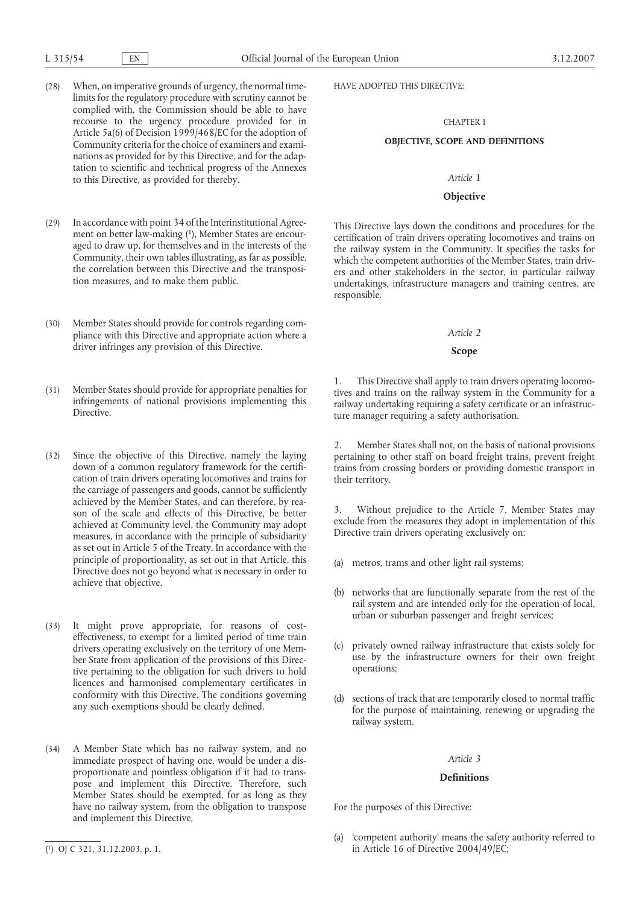- (28) When, on imperative grounds of urgency, the normal timelimits for the regulatory procedure with scrutiny cannot be complied with, the Commission should be able to have recourse to the urgency procedure provided for in Article 5a(6) of Decision 1999/468/EC for the adoption of Community criteria for the choice of examiners and examinations as provided for by this Directive, and for the adaptation to scientific and technical progress of the Annexes to this Directive, as provided for thereby.
- (29) In accordance with point 34 of the Interinstitutional Agreement on better law-making (1), Member States are encouraged to draw up, for themselves and in the interests of the Community, their own tables illustrating, as far as possible, the correlation between this Directive and the transposition measures, and to make them public.
- (30) Member States should provide for controls regarding compliance with this Directive and appropriate action where a driver infringes any provision of this Directive.
- (31) Member States should provide for appropriate penalties for infringements of national provisions implementing this Directive.
- (32) Since the objective of this Directive, namely the laying down of a common regulatory framework for the certification of train drivers operating locomotives and trains for the carriage of passengers and goods, cannot be sufficiently achieved by the Member States, and can therefore, by reason of the scale and effects of this Directive, be better achieved at Community level, the Community may adopt measures, in accordance with the principle of subsidiarity as set out in Article 5 of the Treaty. In accordance with the principle of proportionality, as set out in that Article, this Directive does not go beyond what is necessary in order to achieve that objective.
- (33) It might prove appropriate, for reasons of costeffectiveness, to exempt for a limited period of time train drivers operating exclusively on the territory of one Member State from application of the provisions of this Directive pertaining to the obligation for such drivers to hold licences and harmonised complementary certificates in conformity with this Directive. The conditions governing any such exemptions should be clearly defined.
- (34) A Member State which has no railway system, and no immediate prospect of having one, would be under a disproportionate and pointless obligation if it had to transpose and implement this Directive. Therefore, such Member States should be exempted, for as long as they have no railway system, from the obligation to transpose and implement this Directive,

HAVE ADOPTED THIS DIRECTIVE:

## CHAPTER I

### **OBJECTIVE, SCOPE AND DEFINITIONS**

#### *Article 1*

## **Objective**

This Directive lays down the conditions and procedures for the certification of train drivers operating locomotives and trains on the railway system in the Community. It specifies the tasks for which the competent authorities of the Member States, train drivers and other stakeholders in the sector, in particular railway undertakings, infrastructure managers and training centres, are responsible.

#### *Article 2*

#### **Scope**

1. This Directive shall apply to train drivers operating locomotives and trains on the railway system in the Community for a railway undertaking requiring a safety certificate or an infrastructure manager requiring a safety authorisation.

2. Member States shall not, on the basis of national provisions pertaining to other staff on board freight trains, prevent freight trains from crossing borders or providing domestic transport in their territory.

3. Without prejudice to the Article 7, Member States may exclude from the measures they adopt in implementation of this Directive train drivers operating exclusively on:

- (a) metros, trams and other light rail systems;
- (b) networks that are functionally separate from the rest of the rail system and are intended only for the operation of local, urban or suburban passenger and freight services;
- (c) privately owned railway infrastructure that exists solely for use by the infrastructure owners for their own freight operations;
- (d) sections of track that are temporarily closed to normal traffic for the purpose of maintaining, renewing or upgrading the railway system.

## *Article 3*

# **Definitions**

For the purposes of this Directive:

(a) 'competent authority' means the safety authority referred to (1) OJ C 321, 31.12.2003, p. 1. <br>
in Article 16 of Directive 2004/49/EC;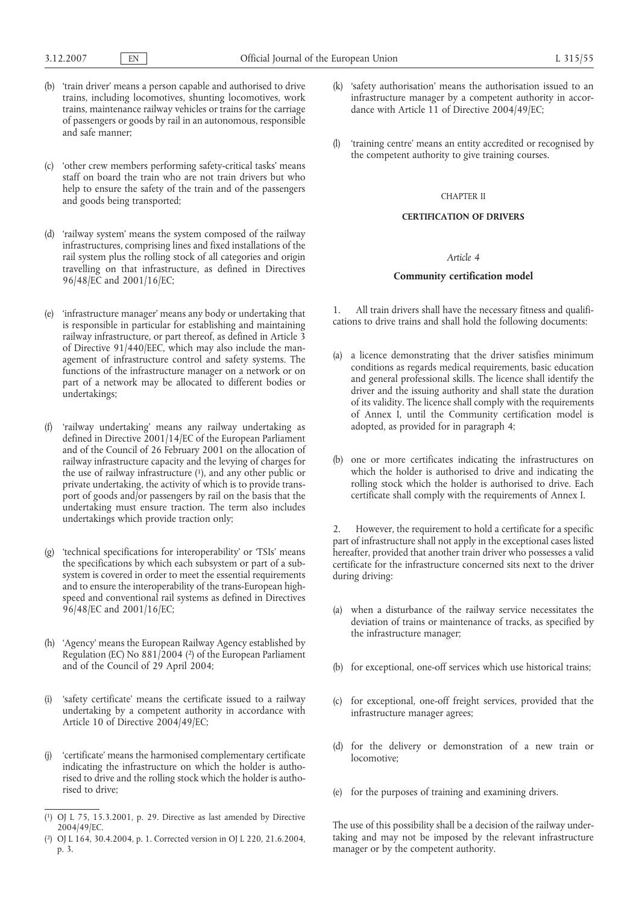- (b) 'train driver' means a person capable and authorised to drive trains, including locomotives, shunting locomotives, work trains, maintenance railway vehicles or trains for the carriage of passengers or goods by rail in an autonomous, responsible and safe manner;
- (c) 'other crew members performing safety-critical tasks' means staff on board the train who are not train drivers but who help to ensure the safety of the train and of the passengers and goods being transported;
- (d) 'railway system' means the system composed of the railway infrastructures, comprising lines and fixed installations of the rail system plus the rolling stock of all categories and origin travelling on that infrastructure, as defined in Directives 96/48/EC and 2001/16/EC;
- (e) 'infrastructure manager' means any body or undertaking that is responsible in particular for establishing and maintaining railway infrastructure, or part thereof, as defined in Article 3 of Directive 91/440/EEC, which may also include the management of infrastructure control and safety systems. The functions of the infrastructure manager on a network or on part of a network may be allocated to different bodies or undertakings;
- (f) 'railway undertaking' means any railway undertaking as defined in Directive 2001/14/EC of the European Parliament and of the Council of 26 February 2001 on the allocation of railway infrastructure capacity and the levying of charges for the use of railway infrastructure (1), and any other public or private undertaking, the activity of which is to provide transport of goods and/or passengers by rail on the basis that the undertaking must ensure traction. The term also includes undertakings which provide traction only;
- (g) 'technical specifications for interoperability' or 'TSIs' means the specifications by which each subsystem or part of a subsystem is covered in order to meet the essential requirements and to ensure the interoperability of the trans-European highspeed and conventional rail systems as defined in Directives 96/48/EC and 2001/16/EC;
- (h) 'Agency' means the European Railway Agency established by Regulation (EC) No 881/2004 (2) of the European Parliament and of the Council of 29 April 2004;
- (i) 'safety certificate' means the certificate issued to a railway undertaking by a competent authority in accordance with Article 10 of Directive 2004/49/EC;
- 'certificate' means the harmonised complementary certificate indicating the infrastructure on which the holder is authorised to drive and the rolling stock which the holder is authorised to drive;
- ( 1) OJ L 75, 15.3.2001, p. 29. Directive as last amended by Directive 2004/49/EC.
- ( 2) OJ L 164, 30.4.2004, p. 1. Corrected version in OJ L 220, 21.6.2004, p. 3.
- (k) 'safety authorisation' means the authorisation issued to an infrastructure manager by a competent authority in accordance with Article 11 of Directive 2004/49/EC;
- (l) 'training centre' means an entity accredited or recognised by the competent authority to give training courses.

## CHAPTER II

## **CERTIFICATION OF DRIVERS**

## *Article 4*

## **Community certification model**

All train drivers shall have the necessary fitness and qualifications to drive trains and shall hold the following documents:

- (a) a licence demonstrating that the driver satisfies minimum conditions as regards medical requirements, basic education and general professional skills. The licence shall identify the driver and the issuing authority and shall state the duration of its validity. The licence shall comply with the requirements of Annex I, until the Community certification model is adopted, as provided for in paragraph 4;
- (b) one or more certificates indicating the infrastructures on which the holder is authorised to drive and indicating the rolling stock which the holder is authorised to drive. Each certificate shall comply with the requirements of Annex I.

2. However, the requirement to hold a certificate for a specific part of infrastructure shall not apply in the exceptional cases listed hereafter, provided that another train driver who possesses a valid certificate for the infrastructure concerned sits next to the driver during driving:

- (a) when a disturbance of the railway service necessitates the deviation of trains or maintenance of tracks, as specified by the infrastructure manager;
- (b) for exceptional, one-off services which use historical trains;
- (c) for exceptional, one-off freight services, provided that the infrastructure manager agrees;
- (d) for the delivery or demonstration of a new train or locomotive;
- (e) for the purposes of training and examining drivers.

The use of this possibility shall be a decision of the railway undertaking and may not be imposed by the relevant infrastructure manager or by the competent authority.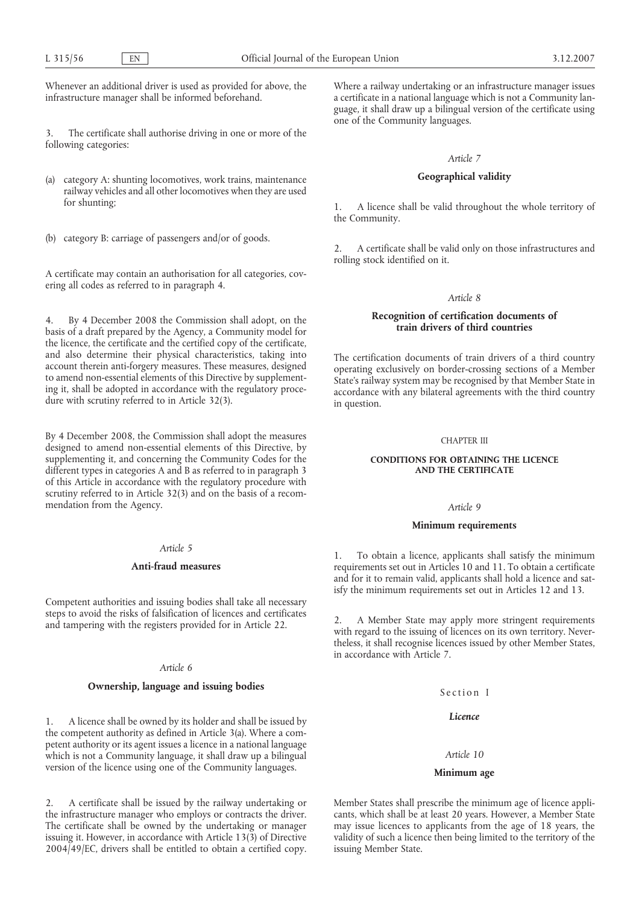Whenever an additional driver is used as provided for above, the infrastructure manager shall be informed beforehand.

3. The certificate shall authorise driving in one or more of the following categories:

(a) category A: shunting locomotives, work trains, maintenance railway vehicles and all other locomotives when they are used for shunting;

(b) category B: carriage of passengers and/or of goods.

A certificate may contain an authorisation for all categories, covering all codes as referred to in paragraph 4.

4. By 4 December 2008 the Commission shall adopt, on the basis of a draft prepared by the Agency, a Community model for the licence, the certificate and the certified copy of the certificate, and also determine their physical characteristics, taking into account therein anti-forgery measures. These measures, designed to amend non-essential elements of this Directive by supplementing it, shall be adopted in accordance with the regulatory procedure with scrutiny referred to in Article 32(3).

By 4 December 2008, the Commission shall adopt the measures designed to amend non-essential elements of this Directive, by supplementing it, and concerning the Community Codes for the different types in categories A and B as referred to in paragraph 3 of this Article in accordance with the regulatory procedure with scrutiny referred to in Article 32(3) and on the basis of a recommendation from the Agency.

# *Article 5*

#### **Anti-fraud measures**

Competent authorities and issuing bodies shall take all necessary steps to avoid the risks of falsification of licences and certificates and tampering with the registers provided for in Article 22.

## *Article 6*

# **Ownership, language and issuing bodies**

1. A licence shall be owned by its holder and shall be issued by the competent authority as defined in Article 3(a). Where a competent authority or its agent issues a licence in a national language which is not a Community language, it shall draw up a bilingual version of the licence using one of the Community languages.

2. A certificate shall be issued by the railway undertaking or the infrastructure manager who employs or contracts the driver. The certificate shall be owned by the undertaking or manager issuing it. However, in accordance with Article 13(3) of Directive 2004/49/EC, drivers shall be entitled to obtain a certified copy.

Where a railway undertaking or an infrastructure manager issues a certificate in a national language which is not a Community language, it shall draw up a bilingual version of the certificate using one of the Community languages.

## *Article 7*

## **Geographical validity**

1. A licence shall be valid throughout the whole territory of the Community.

2. A certificate shall be valid only on those infrastructures and rolling stock identified on it.

### *Article 8*

## **Recognition of certification documents of train drivers of third countries**

The certification documents of train drivers of a third country operating exclusively on border-crossing sections of a Member State's railway system may be recognised by that Member State in accordance with any bilateral agreements with the third country in question.

## CHAPTER III

## **CONDITIONS FOR OBTAINING THE LICENCE AND THE CERTIFICATE**

#### *Article 9*

## **Minimum requirements**

1. To obtain a licence, applicants shall satisfy the minimum requirements set out in Articles 10 and 11. To obtain a certificate and for it to remain valid, applicants shall hold a licence and satisfy the minimum requirements set out in Articles 12 and 13.

2. A Member State may apply more stringent requirements with regard to the issuing of licences on its own territory. Nevertheless, it shall recognise licences issued by other Member States, in accordance with Article 7.

## Section I

# *Licence*

## *Article 10*

#### **Minimum age**

Member States shall prescribe the minimum age of licence applicants, which shall be at least 20 years. However, a Member State may issue licences to applicants from the age of 18 years, the validity of such a licence then being limited to the territory of the issuing Member State.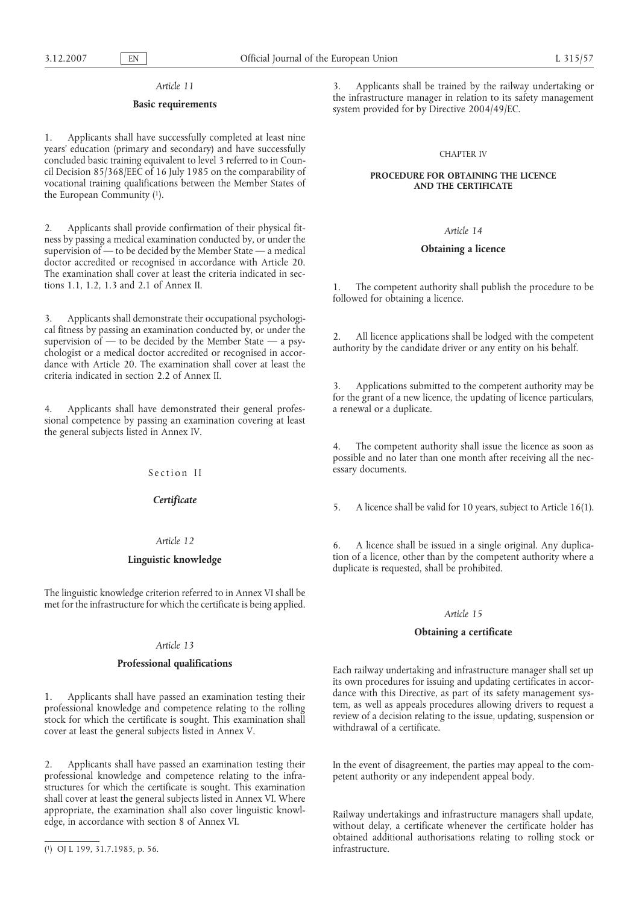#### *Article 11*

## **Basic requirements**

1. Applicants shall have successfully completed at least nine years' education (primary and secondary) and have successfully concluded basic training equivalent to level 3 referred to in Council Decision 85/368/EEC of 16 July 1985 on the comparability of vocational training qualifications between the Member States of the European Community (1).

2. Applicants shall provide confirmation of their physical fitness by passing a medical examination conducted by, or under the supervision of — to be decided by the Member State — a medical doctor accredited or recognised in accordance with Article 20. The examination shall cover at least the criteria indicated in sections 1.1, 1.2, 1.3 and 2.1 of Annex II.

3. Applicants shall demonstrate their occupational psychological fitness by passing an examination conducted by, or under the supervision of  $-$  to be decided by the Member State  $-$  a psychologist or a medical doctor accredited or recognised in accordance with Article 20. The examination shall cover at least the criteria indicated in section 2.2 of Annex II.

4. Applicants shall have demonstrated their general professional competence by passing an examination covering at least the general subjects listed in Annex IV.

Section II

*Certificate*

# *Article 12*

# **Linguistic knowledge**

The linguistic knowledge criterion referred to in Annex VI shall be met for the infrastructure for which the certificate is being applied.

## *Article 13*

## **Professional qualifications**

1. Applicants shall have passed an examination testing their professional knowledge and competence relating to the rolling stock for which the certificate is sought. This examination shall cover at least the general subjects listed in Annex V.

2. Applicants shall have passed an examination testing their professional knowledge and competence relating to the infrastructures for which the certificate is sought. This examination shall cover at least the general subjects listed in Annex VI. Where appropriate, the examination shall also cover linguistic knowledge, in accordance with section 8 of Annex VI.

3. Applicants shall be trained by the railway undertaking or the infrastructure manager in relation to its safety management system provided for by Directive 2004/49/EC.

#### CHAPTER IV

## **PROCEDURE FOR OBTAINING THE LICENCE AND THE CERTIFICATE**

#### *Article 14*

#### **Obtaining a licence**

The competent authority shall publish the procedure to be followed for obtaining a licence.

2. All licence applications shall be lodged with the competent authority by the candidate driver or any entity on his behalf.

3. Applications submitted to the competent authority may be for the grant of a new licence, the updating of licence particulars, a renewal or a duplicate.

4. The competent authority shall issue the licence as soon as possible and no later than one month after receiving all the necessary documents.

5. A licence shall be valid for 10 years, subject to Article 16(1).

6. A licence shall be issued in a single original. Any duplication of a licence, other than by the competent authority where a duplicate is requested, shall be prohibited.

#### *Article 15*

#### **Obtaining a certificate**

Each railway undertaking and infrastructure manager shall set up its own procedures for issuing and updating certificates in accordance with this Directive, as part of its safety management system, as well as appeals procedures allowing drivers to request a review of a decision relating to the issue, updating, suspension or withdrawal of a certificate.

In the event of disagreement, the parties may appeal to the competent authority or any independent appeal body.

Railway undertakings and infrastructure managers shall update, without delay, a certificate whenever the certificate holder has obtained additional authorisations relating to rolling stock or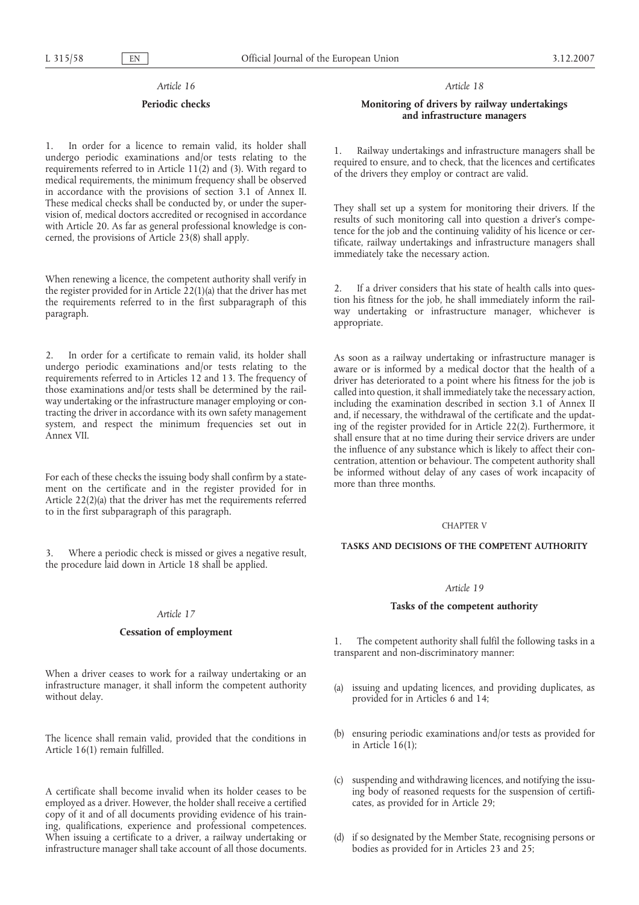## *Article 16*

## **Periodic checks**

1. In order for a licence to remain valid, its holder shall undergo periodic examinations and/or tests relating to the requirements referred to in Article 11(2) and (3). With regard to medical requirements, the minimum frequency shall be observed in accordance with the provisions of section 3.1 of Annex II. These medical checks shall be conducted by, or under the supervision of, medical doctors accredited or recognised in accordance with Article 20. As far as general professional knowledge is concerned, the provisions of Article 23(8) shall apply.

When renewing a licence, the competent authority shall verify in the register provided for in Article 22(1)(a) that the driver has met the requirements referred to in the first subparagraph of this paragraph.

In order for a certificate to remain valid, its holder shall undergo periodic examinations and/or tests relating to the requirements referred to in Articles 12 and 13. The frequency of those examinations and/or tests shall be determined by the railway undertaking or the infrastructure manager employing or contracting the driver in accordance with its own safety management system, and respect the minimum frequencies set out in Annex VII.

For each of these checks the issuing body shall confirm by a statement on the certificate and in the register provided for in Article 22(2)(a) that the driver has met the requirements referred to in the first subparagraph of this paragraph.

3. Where a periodic check is missed or gives a negative result, the procedure laid down in Article 18 shall be applied.

#### *Article 17*

## **Cessation of employment**

When a driver ceases to work for a railway undertaking or an infrastructure manager, it shall inform the competent authority without delay.

The licence shall remain valid, provided that the conditions in Article 16(1) remain fulfilled.

A certificate shall become invalid when its holder ceases to be employed as a driver. However, the holder shall receive a certified copy of it and of all documents providing evidence of his training, qualifications, experience and professional competences. When issuing a certificate to a driver, a railway undertaking or infrastructure manager shall take account of all those documents.

*Article 18*

## **Monitoring of drivers by railway undertakings and infrastructure managers**

1. Railway undertakings and infrastructure managers shall be required to ensure, and to check, that the licences and certificates of the drivers they employ or contract are valid.

They shall set up a system for monitoring their drivers. If the results of such monitoring call into question a driver's competence for the job and the continuing validity of his licence or certificate, railway undertakings and infrastructure managers shall immediately take the necessary action.

2. If a driver considers that his state of health calls into question his fitness for the job, he shall immediately inform the railway undertaking or infrastructure manager, whichever is appropriate.

As soon as a railway undertaking or infrastructure manager is aware or is informed by a medical doctor that the health of a driver has deteriorated to a point where his fitness for the job is called into question, it shall immediately take the necessary action, including the examination described in section 3.1 of Annex II and, if necessary, the withdrawal of the certificate and the updating of the register provided for in Article 22(2). Furthermore, it shall ensure that at no time during their service drivers are under the influence of any substance which is likely to affect their concentration, attention or behaviour. The competent authority shall be informed without delay of any cases of work incapacity of more than three months.

#### CHAPTER V

## **TASKS AND DECISIONS OF THE COMPETENT AUTHORITY**

## *Article 19*

## **Tasks of the competent authority**

1. The competent authority shall fulfil the following tasks in a transparent and non-discriminatory manner:

- (a) issuing and updating licences, and providing duplicates, as provided for in Articles 6 and 14;
- (b) ensuring periodic examinations and/or tests as provided for in Article  $16(1)$ ;
- (c) suspending and withdrawing licences, and notifying the issuing body of reasoned requests for the suspension of certificates, as provided for in Article 29;
- (d) if so designated by the Member State, recognising persons or bodies as provided for in Articles 23 and 25;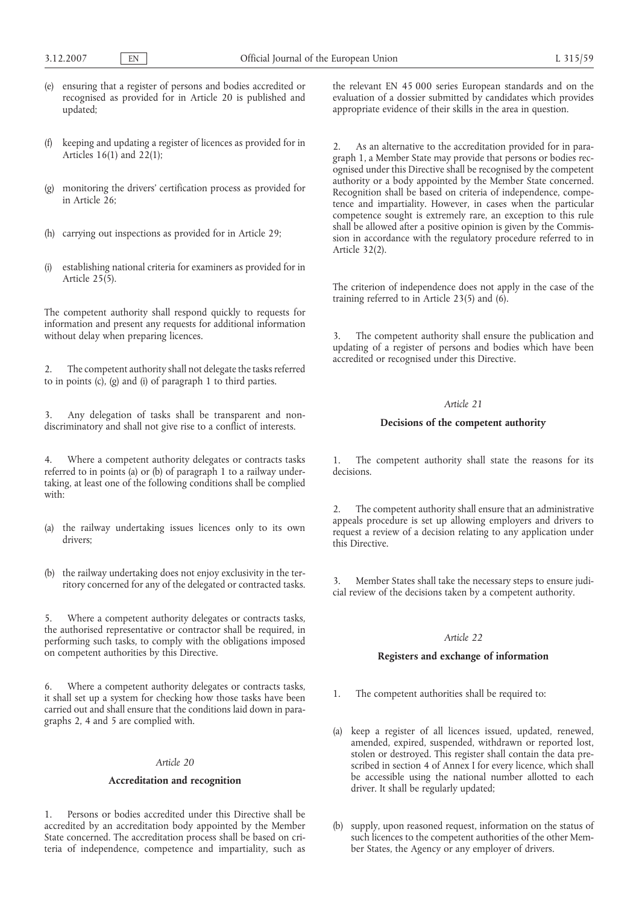- (e) ensuring that a register of persons and bodies accredited or recognised as provided for in Article 20 is published and updated;
- (f) keeping and updating a register of licences as provided for in Articles 16(1) and 22(1);
- (g) monitoring the drivers' certification process as provided for in Article  $26$ :
- (h) carrying out inspections as provided for in Article 29;
- (i) establishing national criteria for examiners as provided for in Article 25(5).

The competent authority shall respond quickly to requests for information and present any requests for additional information without delay when preparing licences.

2. The competent authority shall not delegate the tasks referred to in points (c), (g) and (i) of paragraph 1 to third parties.

Any delegation of tasks shall be transparent and nondiscriminatory and shall not give rise to a conflict of interests.

4. Where a competent authority delegates or contracts tasks referred to in points (a) or (b) of paragraph 1 to a railway undertaking, at least one of the following conditions shall be complied with:

- (a) the railway undertaking issues licences only to its own drivers;
- (b) the railway undertaking does not enjoy exclusivity in the territory concerned for any of the delegated or contracted tasks.

5. Where a competent authority delegates or contracts tasks, the authorised representative or contractor shall be required, in performing such tasks, to comply with the obligations imposed on competent authorities by this Directive.

6. Where a competent authority delegates or contracts tasks, it shall set up a system for checking how those tasks have been carried out and shall ensure that the conditions laid down in paragraphs 2, 4 and 5 are complied with.

## *Article 20*

## **Accreditation and recognition**

1. Persons or bodies accredited under this Directive shall be accredited by an accreditation body appointed by the Member State concerned. The accreditation process shall be based on criteria of independence, competence and impartiality, such as the relevant EN 45 000 series European standards and on the evaluation of a dossier submitted by candidates which provides appropriate evidence of their skills in the area in question.

2. As an alternative to the accreditation provided for in paragraph 1, a Member State may provide that persons or bodies recognised under this Directive shall be recognised by the competent authority or a body appointed by the Member State concerned. Recognition shall be based on criteria of independence, competence and impartiality. However, in cases when the particular competence sought is extremely rare, an exception to this rule shall be allowed after a positive opinion is given by the Commission in accordance with the regulatory procedure referred to in Article 32(2).

The criterion of independence does not apply in the case of the training referred to in Article 23(5) and  $(6)$ .

3. The competent authority shall ensure the publication and updating of a register of persons and bodies which have been accredited or recognised under this Directive.

# *Article 21*

# **Decisions of the competent authority**

1. The competent authority shall state the reasons for its decisions.

The competent authority shall ensure that an administrative appeals procedure is set up allowing employers and drivers to request a review of a decision relating to any application under this Directive.

3. Member States shall take the necessary steps to ensure judicial review of the decisions taken by a competent authority.

## *Article 22*

# **Registers and exchange of information**

- 1. The competent authorities shall be required to:
- (a) keep a register of all licences issued, updated, renewed, amended, expired, suspended, withdrawn or reported lost, stolen or destroyed. This register shall contain the data prescribed in section 4 of Annex I for every licence, which shall be accessible using the national number allotted to each driver. It shall be regularly updated;
- (b) supply, upon reasoned request, information on the status of such licences to the competent authorities of the other Member States, the Agency or any employer of drivers.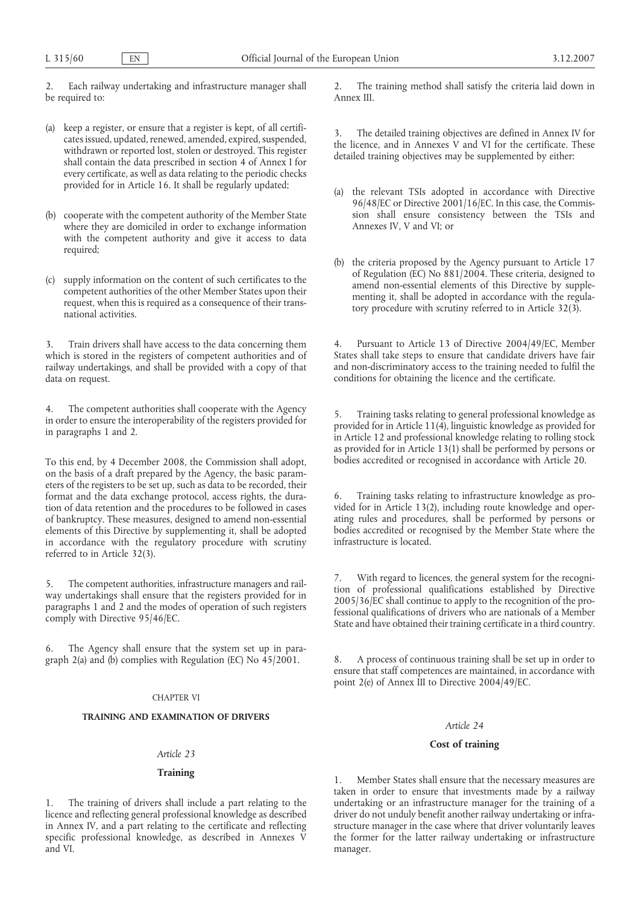2. Each railway undertaking and infrastructure manager shall be required to:

- (a) keep a register, or ensure that a register is kept, of all certificates issued, updated, renewed, amended, expired, suspended, withdrawn or reported lost, stolen or destroyed. This register shall contain the data prescribed in section 4 of Annex I for every certificate, as well as data relating to the periodic checks provided for in Article 16. It shall be regularly updated;
- (b) cooperate with the competent authority of the Member State where they are domiciled in order to exchange information with the competent authority and give it access to data required;
- (c) supply information on the content of such certificates to the competent authorities of the other Member States upon their request, when this is required as a consequence of their transnational activities.

3. Train drivers shall have access to the data concerning them which is stored in the registers of competent authorities and of railway undertakings, and shall be provided with a copy of that data on request.

The competent authorities shall cooperate with the Agency in order to ensure the interoperability of the registers provided for in paragraphs 1 and 2.

To this end, by 4 December 2008, the Commission shall adopt, on the basis of a draft prepared by the Agency, the basic parameters of the registers to be set up, such as data to be recorded, their format and the data exchange protocol, access rights, the duration of data retention and the procedures to be followed in cases of bankruptcy. These measures, designed to amend non-essential elements of this Directive by supplementing it, shall be adopted in accordance with the regulatory procedure with scrutiny referred to in Article 32(3).

5. The competent authorities, infrastructure managers and railway undertakings shall ensure that the registers provided for in paragraphs 1 and 2 and the modes of operation of such registers comply with Directive 95/46/EC.

6. The Agency shall ensure that the system set up in paragraph 2(a) and (b) complies with Regulation (EC) No 45/2001.

## CHAPTER VI

# **TRAINING AND EXAMINATION OF DRIVERS**

# *Article 23*

# **Training**

1. The training of drivers shall include a part relating to the licence and reflecting general professional knowledge as described in Annex IV, and a part relating to the certificate and reflecting specific professional knowledge, as described in Annexes V and VI.

2. The training method shall satisfy the criteria laid down in Annex III.

3. The detailed training objectives are defined in Annex IV for the licence, and in Annexes V and VI for the certificate. These detailed training objectives may be supplemented by either:

- (a) the relevant TSIs adopted in accordance with Directive 96/48/EC or Directive 2001/16/EC. In this case, the Commission shall ensure consistency between the TSIs and Annexes IV, V and VI; or
- (b) the criteria proposed by the Agency pursuant to Article 17 of Regulation (EC) No 881/2004. These criteria, designed to amend non-essential elements of this Directive by supplementing it, shall be adopted in accordance with the regulatory procedure with scrutiny referred to in Article 32(3).

4. Pursuant to Article 13 of Directive 2004/49/EC, Member States shall take steps to ensure that candidate drivers have fair and non-discriminatory access to the training needed to fulfil the conditions for obtaining the licence and the certificate.

5. Training tasks relating to general professional knowledge as provided for in Article 11(4), linguistic knowledge as provided for in Article 12 and professional knowledge relating to rolling stock as provided for in Article 13(1) shall be performed by persons or bodies accredited or recognised in accordance with Article 20.

6. Training tasks relating to infrastructure knowledge as provided for in Article 13(2), including route knowledge and operating rules and procedures, shall be performed by persons or bodies accredited or recognised by the Member State where the infrastructure is located.

7. With regard to licences, the general system for the recognition of professional qualifications established by Directive 2005/36/EC shall continue to apply to the recognition of the professional qualifications of drivers who are nationals of a Member State and have obtained their training certificate in a third country.

8. A process of continuous training shall be set up in order to ensure that staff competences are maintained, in accordance with point 2(e) of Annex III to Directive 2004/49/EC.

#### *Article 24*

# **Cost of training**

1. Member States shall ensure that the necessary measures are taken in order to ensure that investments made by a railway undertaking or an infrastructure manager for the training of a driver do not unduly benefit another railway undertaking or infrastructure manager in the case where that driver voluntarily leaves the former for the latter railway undertaking or infrastructure manager.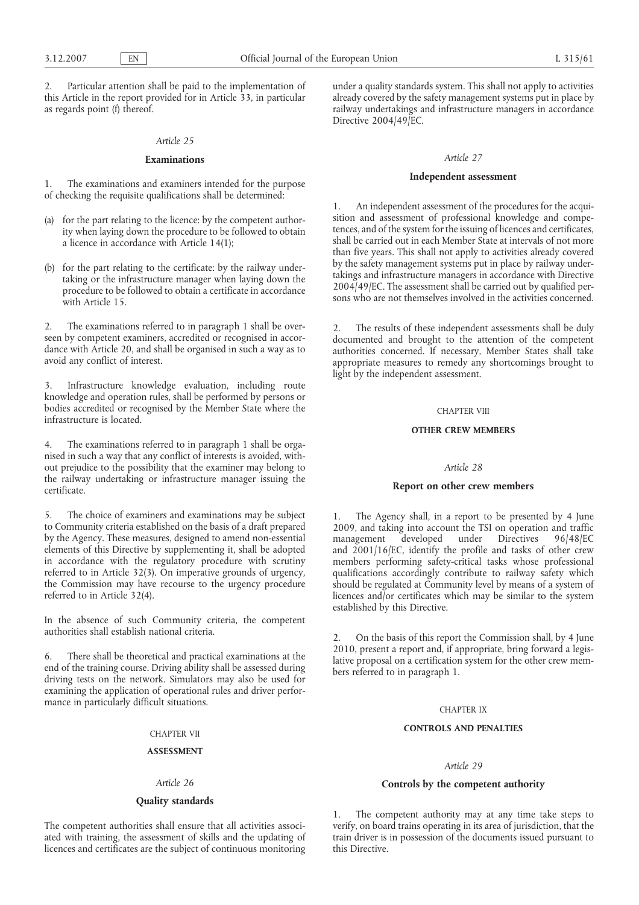2. Particular attention shall be paid to the implementation of this Article in the report provided for in Article 33, in particular as regards point (f) thereof.

## *Article 25*

## **Examinations**

1. The examinations and examiners intended for the purpose of checking the requisite qualifications shall be determined:

- (a) for the part relating to the licence: by the competent authority when laying down the procedure to be followed to obtain a licence in accordance with Article 14(1);
- (b) for the part relating to the certificate: by the railway undertaking or the infrastructure manager when laying down the procedure to be followed to obtain a certificate in accordance with Article 15.

2. The examinations referred to in paragraph 1 shall be overseen by competent examiners, accredited or recognised in accordance with Article 20, and shall be organised in such a way as to avoid any conflict of interest.

3. Infrastructure knowledge evaluation, including route knowledge and operation rules, shall be performed by persons or bodies accredited or recognised by the Member State where the infrastructure is located.

4. The examinations referred to in paragraph 1 shall be organised in such a way that any conflict of interests is avoided, without prejudice to the possibility that the examiner may belong to the railway undertaking or infrastructure manager issuing the certificate.

5. The choice of examiners and examinations may be subject to Community criteria established on the basis of a draft prepared by the Agency. These measures, designed to amend non-essential elements of this Directive by supplementing it, shall be adopted in accordance with the regulatory procedure with scrutiny referred to in Article 32(3). On imperative grounds of urgency, the Commission may have recourse to the urgency procedure referred to in Article 32(4).

In the absence of such Community criteria, the competent authorities shall establish national criteria.

6. There shall be theoretical and practical examinations at the end of the training course. Driving ability shall be assessed during driving tests on the network. Simulators may also be used for examining the application of operational rules and driver performance in particularly difficult situations.

# CHAPTER VII

#### **ASSESSMENT**

#### *Article 26*

## **Quality standards**

The competent authorities shall ensure that all activities associated with training, the assessment of skills and the updating of licences and certificates are the subject of continuous monitoring under a quality standards system. This shall not apply to activities already covered by the safety management systems put in place by railway undertakings and infrastructure managers in accordance Directive 2004/49/EC.

## *Article 27*

## **Independent assessment**

1. An independent assessment of the procedures for the acquisition and assessment of professional knowledge and competences, and of the system for the issuing of licences and certificates, shall be carried out in each Member State at intervals of not more than five years. This shall not apply to activities already covered by the safety management systems put in place by railway undertakings and infrastructure managers in accordance with Directive 2004/49/EC. The assessment shall be carried out by qualified persons who are not themselves involved in the activities concerned.

2. The results of these independent assessments shall be duly documented and brought to the attention of the competent authorities concerned. If necessary, Member States shall take appropriate measures to remedy any shortcomings brought to light by the independent assessment.

## CHAPTER VIII

## **OTHER CREW MEMBERS**

#### *Article 28*

## **Report on other crew members**

1. The Agency shall, in a report to be presented by 4 June 2009, and taking into account the TSI on operation and traffic<br>management developed under Directives 96/48/EC management developed under Directives 96/48/EC and 2001/16/EC, identify the profile and tasks of other crew members performing safety-critical tasks whose professional qualifications accordingly contribute to railway safety which should be regulated at Community level by means of a system of licences and/or certificates which may be similar to the system established by this Directive.

2. On the basis of this report the Commission shall, by 4 June 2010, present a report and, if appropriate, bring forward a legislative proposal on a certification system for the other crew members referred to in paragraph 1.

#### CHAPTER IX

# **CONTROLS AND PENALTIES**

## *Article 29*

## **Controls by the competent authority**

1. The competent authority may at any time take steps to verify, on board trains operating in its area of jurisdiction, that the train driver is in possession of the documents issued pursuant to this Directive.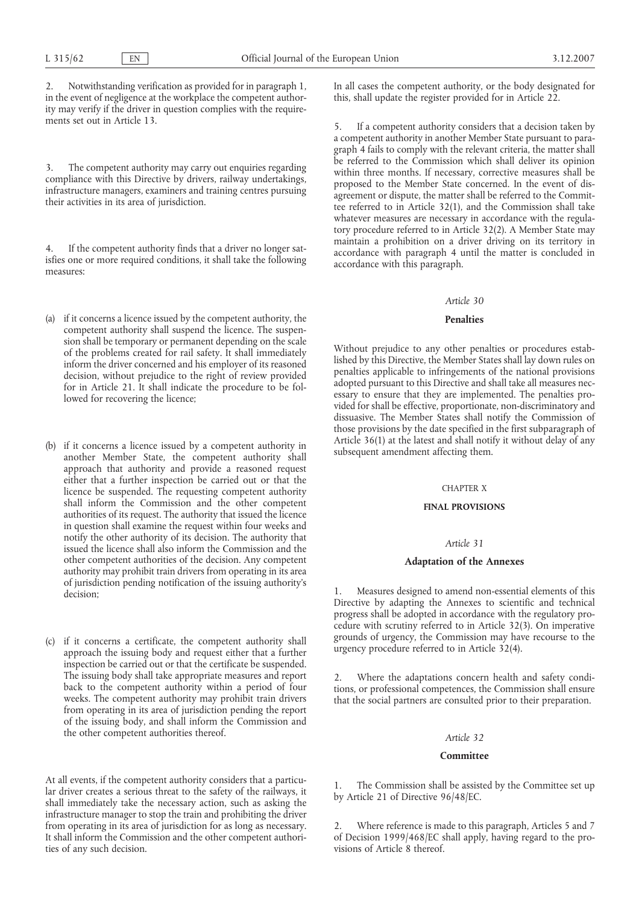2. Notwithstanding verification as provided for in paragraph 1, in the event of negligence at the workplace the competent authority may verify if the driver in question complies with the requirements set out in Article 13.

3. The competent authority may carry out enquiries regarding compliance with this Directive by drivers, railway undertakings, infrastructure managers, examiners and training centres pursuing their activities in its area of jurisdiction.

4. If the competent authority finds that a driver no longer satisfies one or more required conditions, it shall take the following measures:

- (a) if it concerns a licence issued by the competent authority, the competent authority shall suspend the licence. The suspension shall be temporary or permanent depending on the scale of the problems created for rail safety. It shall immediately inform the driver concerned and his employer of its reasoned decision, without prejudice to the right of review provided for in Article 21. It shall indicate the procedure to be followed for recovering the licence;
- (b) if it concerns a licence issued by a competent authority in another Member State, the competent authority shall approach that authority and provide a reasoned request either that a further inspection be carried out or that the licence be suspended. The requesting competent authority shall inform the Commission and the other competent authorities of its request. The authority that issued the licence in question shall examine the request within four weeks and notify the other authority of its decision. The authority that issued the licence shall also inform the Commission and the other competent authorities of the decision. Any competent authority may prohibit train drivers from operating in its area of jurisdiction pending notification of the issuing authority's decision;
- (c) if it concerns a certificate, the competent authority shall approach the issuing body and request either that a further inspection be carried out or that the certificate be suspended. The issuing body shall take appropriate measures and report back to the competent authority within a period of four weeks. The competent authority may prohibit train drivers from operating in its area of jurisdiction pending the report of the issuing body, and shall inform the Commission and the other competent authorities thereof.

At all events, if the competent authority considers that a particular driver creates a serious threat to the safety of the railways, it shall immediately take the necessary action, such as asking the infrastructure manager to stop the train and prohibiting the driver from operating in its area of jurisdiction for as long as necessary. It shall inform the Commission and the other competent authorities of any such decision.

In all cases the competent authority, or the body designated for this, shall update the register provided for in Article 22.

5. If a competent authority considers that a decision taken by a competent authority in another Member State pursuant to paragraph 4 fails to comply with the relevant criteria, the matter shall be referred to the Commission which shall deliver its opinion within three months. If necessary, corrective measures shall be proposed to the Member State concerned. In the event of disagreement or dispute, the matter shall be referred to the Committee referred to in Article 32(1), and the Commission shall take whatever measures are necessary in accordance with the regulatory procedure referred to in Article 32(2). A Member State may maintain a prohibition on a driver driving on its territory in accordance with paragraph 4 until the matter is concluded in accordance with this paragraph.

#### *Article 30*

### **Penalties**

Without prejudice to any other penalties or procedures established by this Directive, the Member States shall lay down rules on penalties applicable to infringements of the national provisions adopted pursuant to this Directive and shall take all measures necessary to ensure that they are implemented. The penalties provided for shall be effective, proportionate, non-discriminatory and dissuasive. The Member States shall notify the Commission of those provisions by the date specified in the first subparagraph of Article 36(1) at the latest and shall notify it without delay of any subsequent amendment affecting them.

#### CHAPTER X

## **FINAL PROVISIONS**

## *Article 31*

## **Adaptation of the Annexes**

1. Measures designed to amend non-essential elements of this Directive by adapting the Annexes to scientific and technical progress shall be adopted in accordance with the regulatory procedure with scrutiny referred to in Article 32(3). On imperative grounds of urgency, the Commission may have recourse to the urgency procedure referred to in Article 32(4).

2. Where the adaptations concern health and safety conditions, or professional competences, the Commission shall ensure that the social partners are consulted prior to their preparation.

## *Article 32*

#### **Committee**

1. The Commission shall be assisted by the Committee set up by Article 21 of Directive 96/48/EC.

2. Where reference is made to this paragraph, Articles 5 and 7 of Decision 1999/468/EC shall apply, having regard to the provisions of Article 8 thereof.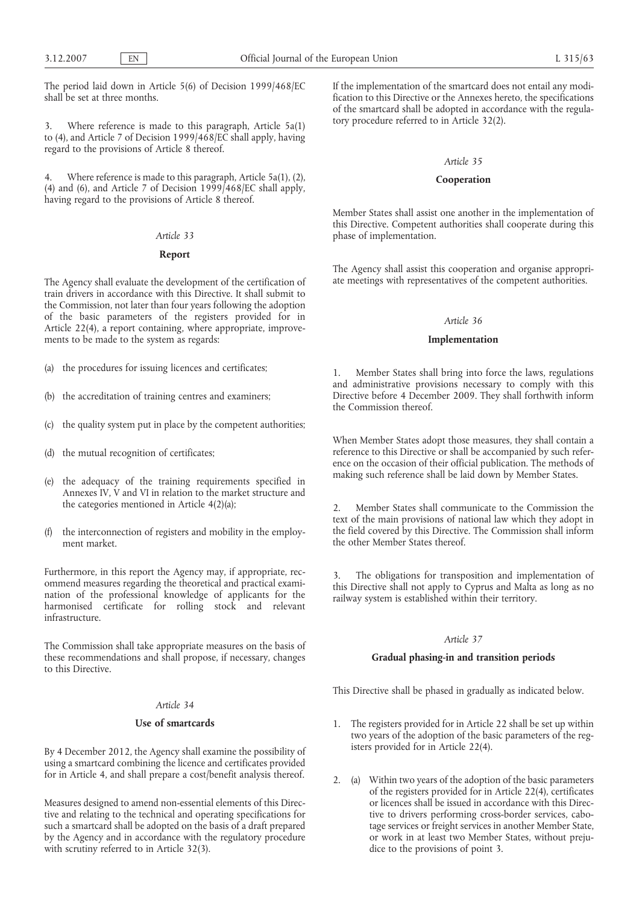The period laid down in Article 5(6) of Decision 1999/468/EC shall be set at three months.

3. Where reference is made to this paragraph, Article 5a(1) to (4), and Article 7 of Decision 1999/468/EC shall apply, having regard to the provisions of Article 8 thereof.

4. Where reference is made to this paragraph, Article 5a(1), (2), (4) and (6), and Article 7 of Decision 1999/468/EC shall apply, having regard to the provisions of Article 8 thereof.

# *Article 33*

# **Report**

The Agency shall evaluate the development of the certification of train drivers in accordance with this Directive. It shall submit to the Commission, not later than four years following the adoption of the basic parameters of the registers provided for in Article 22(4), a report containing, where appropriate, improvements to be made to the system as regards:

- (a) the procedures for issuing licences and certificates;
- (b) the accreditation of training centres and examiners;
- (c) the quality system put in place by the competent authorities;
- (d) the mutual recognition of certificates;
- (e) the adequacy of the training requirements specified in Annexes IV, V and VI in relation to the market structure and the categories mentioned in Article 4(2)(a);
- (f) the interconnection of registers and mobility in the employment market.

Furthermore, in this report the Agency may, if appropriate, recommend measures regarding the theoretical and practical examination of the professional knowledge of applicants for the harmonised certificate for rolling stock and relevant infrastructure.

The Commission shall take appropriate measures on the basis of these recommendations and shall propose, if necessary, changes to this Directive.

#### *Article 34*

#### **Use of smartcards**

By 4 December 2012, the Agency shall examine the possibility of using a smartcard combining the licence and certificates provided for in Article 4, and shall prepare a cost/benefit analysis thereof.

Measures designed to amend non-essential elements of this Directive and relating to the technical and operating specifications for such a smartcard shall be adopted on the basis of a draft prepared by the Agency and in accordance with the regulatory procedure with scrutiny referred to in Article 32(3).

If the implementation of the smartcard does not entail any modification to this Directive or the Annexes hereto, the specifications of the smartcard shall be adopted in accordance with the regulatory procedure referred to in Article 32(2).

## *Article 35*

#### **Cooperation**

Member States shall assist one another in the implementation of this Directive. Competent authorities shall cooperate during this phase of implementation.

The Agency shall assist this cooperation and organise appropriate meetings with representatives of the competent authorities.

## *Article 36*

#### **Implementation**

1. Member States shall bring into force the laws, regulations and administrative provisions necessary to comply with this Directive before 4 December 2009. They shall forthwith inform the Commission thereof.

When Member States adopt those measures, they shall contain a reference to this Directive or shall be accompanied by such reference on the occasion of their official publication. The methods of making such reference shall be laid down by Member States.

2. Member States shall communicate to the Commission the text of the main provisions of national law which they adopt in the field covered by this Directive. The Commission shall inform the other Member States thereof.

3. The obligations for transposition and implementation of this Directive shall not apply to Cyprus and Malta as long as no railway system is established within their territory.

## *Article 37*

# **Gradual phasing-in and transition periods**

This Directive shall be phased in gradually as indicated below.

- 1. The registers provided for in Article 22 shall be set up within two years of the adoption of the basic parameters of the registers provided for in Article 22(4).
- 2. (a) Within two years of the adoption of the basic parameters of the registers provided for in Article 22(4), certificates or licences shall be issued in accordance with this Directive to drivers performing cross-border services, cabotage services or freight services in another Member State, or work in at least two Member States, without prejudice to the provisions of point 3.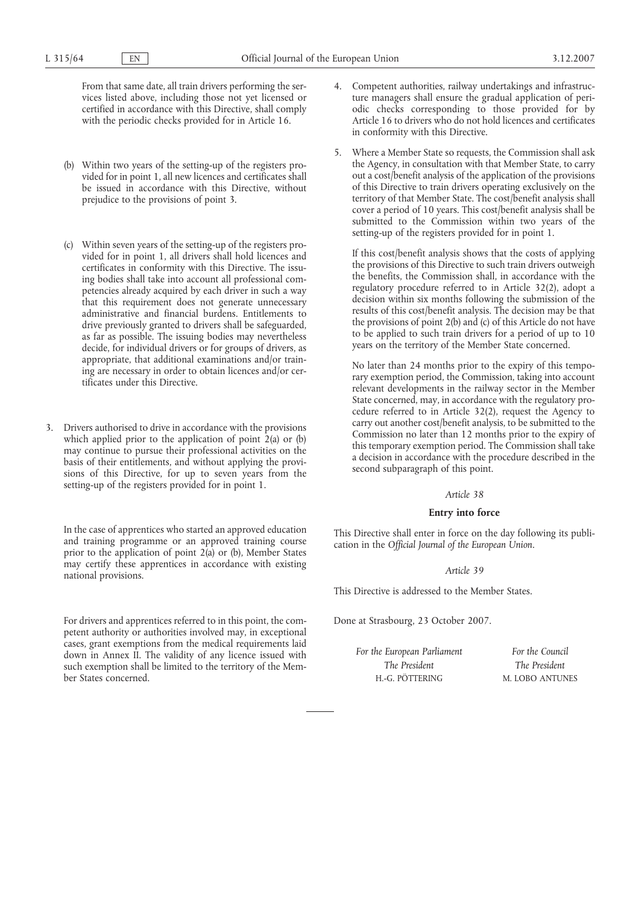From that same date, all train drivers performing the services listed above, including those not yet licensed or certified in accordance with this Directive, shall comply with the periodic checks provided for in Article 16.

- (b) Within two years of the setting-up of the registers provided for in point 1, all new licences and certificates shall be issued in accordance with this Directive, without prejudice to the provisions of point 3.
- (c) Within seven years of the setting-up of the registers provided for in point 1, all drivers shall hold licences and certificates in conformity with this Directive. The issuing bodies shall take into account all professional competencies already acquired by each driver in such a way that this requirement does not generate unnecessary administrative and financial burdens. Entitlements to drive previously granted to drivers shall be safeguarded, as far as possible. The issuing bodies may nevertheless decide, for individual drivers or for groups of drivers, as appropriate, that additional examinations and/or training are necessary in order to obtain licences and/or certificates under this Directive.
- 3. Drivers authorised to drive in accordance with the provisions which applied prior to the application of point 2(a) or (b) may continue to pursue their professional activities on the basis of their entitlements, and without applying the provisions of this Directive, for up to seven years from the setting-up of the registers provided for in point 1.

In the case of apprentices who started an approved education and training programme or an approved training course prior to the application of point  $2(a)$  or (b), Member States may certify these apprentices in accordance with existing national provisions.

For drivers and apprentices referred to in this point, the competent authority or authorities involved may, in exceptional cases, grant exemptions from the medical requirements laid down in Annex II. The validity of any licence issued with such exemption shall be limited to the territory of the Member States concerned.

- 4. Competent authorities, railway undertakings and infrastructure managers shall ensure the gradual application of periodic checks corresponding to those provided for by Article 16 to drivers who do not hold licences and certificates in conformity with this Directive.
- 5. Where a Member State so requests, the Commission shall ask the Agency, in consultation with that Member State, to carry out a cost/benefit analysis of the application of the provisions of this Directive to train drivers operating exclusively on the territory of that Member State. The cost/benefit analysis shall cover a period of 10 years. This cost/benefit analysis shall be submitted to the Commission within two years of the setting-up of the registers provided for in point 1.

If this cost/benefit analysis shows that the costs of applying the provisions of this Directive to such train drivers outweigh the benefits, the Commission shall, in accordance with the regulatory procedure referred to in Article 32(2), adopt a decision within six months following the submission of the results of this cost/benefit analysis. The decision may be that the provisions of point 2(b) and (c) of this Article do not have to be applied to such train drivers for a period of up to 10 years on the territory of the Member State concerned.

No later than 24 months prior to the expiry of this temporary exemption period, the Commission, taking into account relevant developments in the railway sector in the Member State concerned, may, in accordance with the regulatory procedure referred to in Article 32(2), request the Agency to carry out another cost/benefit analysis, to be submitted to the Commission no later than 12 months prior to the expiry of this temporary exemption period. The Commission shall take a decision in accordance with the procedure described in the second subparagraph of this point.

## *Article 38*

## **Entry into force**

This Directive shall enter in force on the day following its publication in the *Official Journal of the European Union*.

## *Article 39*

This Directive is addressed to the Member States.

Done at Strasbourg, 23 October 2007.

*For the European Parliament The President* H.-G. PÖTTERING

*For the Council The President* M. LOBO ANTUNES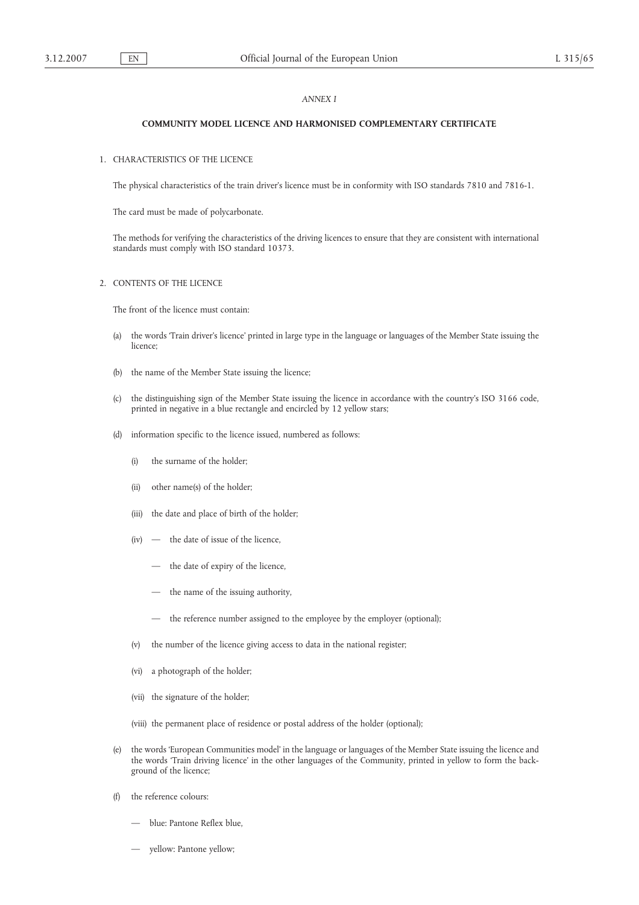## *ANNEX I*

# **COMMUNITY MODEL LICENCE AND HARMONISED COMPLEMENTARY CERTIFICATE**

## 1. CHARACTERISTICS OF THE LICENCE

The physical characteristics of the train driver's licence must be in conformity with ISO standards 7810 and 7816-1.

The card must be made of polycarbonate.

The methods for verifying the characteristics of the driving licences to ensure that they are consistent with international standards must comply with ISO standard 10373.

## 2. CONTENTS OF THE LICENCE

The front of the licence must contain:

- (a) the words 'Train driver's licence' printed in large type in the language or languages of the Member State issuing the licence;
- (b) the name of the Member State issuing the licence;
- (c) the distinguishing sign of the Member State issuing the licence in accordance with the country's ISO 3166 code, printed in negative in a blue rectangle and encircled by 12 yellow stars;
- (d) information specific to the licence issued, numbered as follows:
	- (i) the surname of the holder;
	- (ii) other name(s) of the holder;
	- (iii) the date and place of birth of the holder;
	- (iv) the date of issue of the licence,
		- the date of expiry of the licence,
		- the name of the issuing authority,
		- the reference number assigned to the employee by the employer (optional);
	- (v) the number of the licence giving access to data in the national register;
	- (vi) a photograph of the holder;
	- (vii) the signature of the holder;
	- (viii) the permanent place of residence or postal address of the holder (optional);
- (e) the words 'European Communities model' in the language or languages of the Member State issuing the licence and the words 'Train driving licence' in the other languages of the Community, printed in yellow to form the background of the licence;
- (f) the reference colours:
	- blue: Pantone Reflex blue,
	- yellow: Pantone yellow;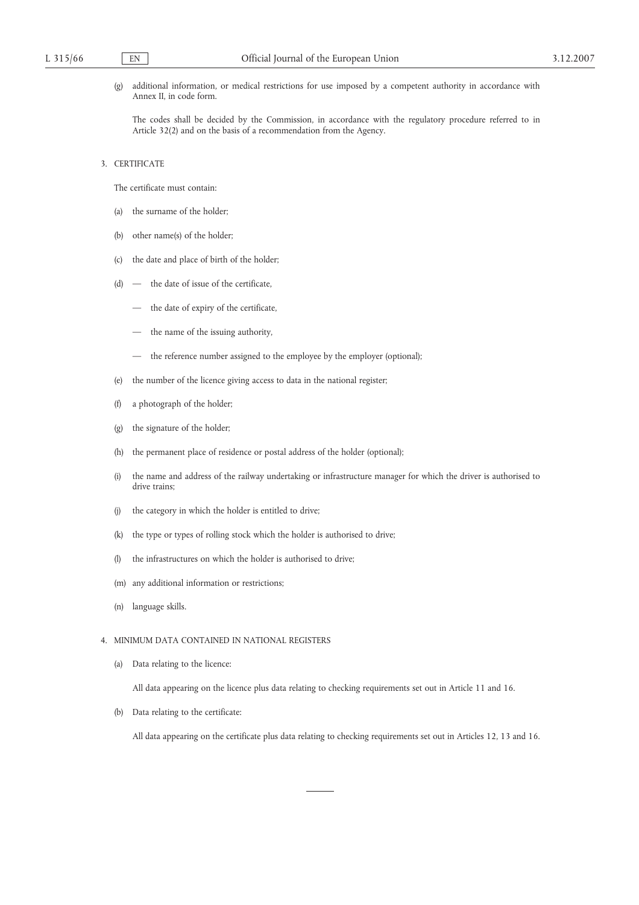(g) additional information, or medical restrictions for use imposed by a competent authority in accordance with Annex II, in code form.

The codes shall be decided by the Commission, in accordance with the regulatory procedure referred to in Article 32(2) and on the basis of a recommendation from the Agency.

3. CERTIFICATE

The certificate must contain:

- (a) the surname of the holder;
- (b) other name(s) of the holder;
- (c) the date and place of birth of the holder;
- (d) the date of issue of the certificate,
	- the date of expiry of the certificate,
	- the name of the issuing authority,
	- the reference number assigned to the employee by the employer (optional);
- (e) the number of the licence giving access to data in the national register;
- (f) a photograph of the holder;
- (g) the signature of the holder;
- (h) the permanent place of residence or postal address of the holder (optional);
- (i) the name and address of the railway undertaking or infrastructure manager for which the driver is authorised to drive trains;
- (j) the category in which the holder is entitled to drive;
- (k) the type or types of rolling stock which the holder is authorised to drive;
- (l) the infrastructures on which the holder is authorised to drive;
- (m) any additional information or restrictions;
- (n) language skills.

# 4. MINIMUM DATA CONTAINED IN NATIONAL REGISTERS

(a) Data relating to the licence:

All data appearing on the licence plus data relating to checking requirements set out in Article 11 and 16.

(b) Data relating to the certificate:

All data appearing on the certificate plus data relating to checking requirements set out in Articles 12, 13 and 16.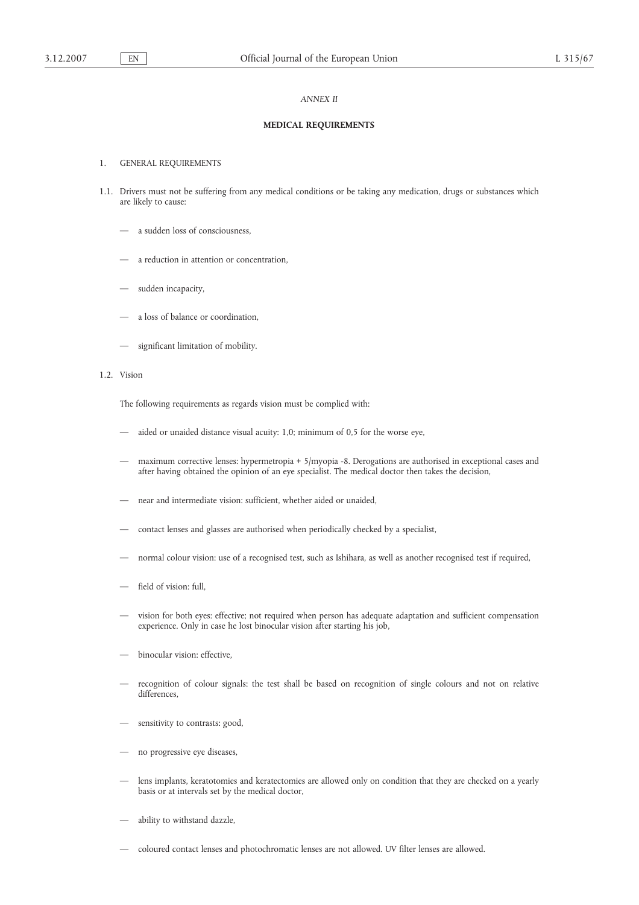## *ANNEX II*

# **MEDICAL REQUIREMENTS**

#### 1. GENERAL REQUIREMENTS

- 1.1. Drivers must not be suffering from any medical conditions or be taking any medication, drugs or substances which are likely to cause:
	- a sudden loss of consciousness,
	- a reduction in attention or concentration,
	- sudden incapacity,
	- a loss of balance or coordination,
	- significant limitation of mobility.
- 1.2. Vision

The following requirements as regards vision must be complied with:

- aided or unaided distance visual acuity: 1,0; minimum of 0,5 for the worse eye,
- maximum corrective lenses: hypermetropia + 5/myopia -8. Derogations are authorised in exceptional cases and after having obtained the opinion of an eye specialist. The medical doctor then takes the decision,
- near and intermediate vision: sufficient, whether aided or unaided,
- contact lenses and glasses are authorised when periodically checked by a specialist,
- normal colour vision: use of a recognised test, such as Ishihara, as well as another recognised test if required,
- field of vision: full,
- vision for both eyes: effective; not required when person has adequate adaptation and sufficient compensation experience. Only in case he lost binocular vision after starting his job,
- binocular vision: effective,
- recognition of colour signals: the test shall be based on recognition of single colours and not on relative differences,
- sensitivity to contrasts: good,
- no progressive eye diseases,
- lens implants, keratotomies and keratectomies are allowed only on condition that they are checked on a yearly basis or at intervals set by the medical doctor,
- ability to withstand dazzle,
- coloured contact lenses and photochromatic lenses are not allowed. UV filter lenses are allowed.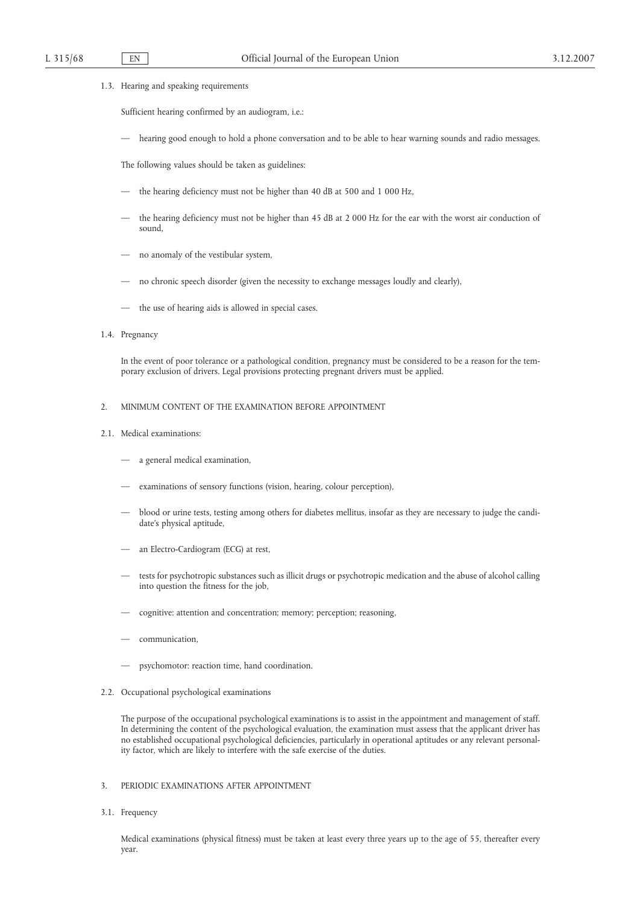## 1.3. Hearing and speaking requirements

Sufficient hearing confirmed by an audiogram, i.e.:

— hearing good enough to hold a phone conversation and to be able to hear warning sounds and radio messages.

The following values should be taken as guidelines:

- the hearing deficiency must not be higher than 40 dB at 500 and 1 000 Hz,
- the hearing deficiency must not be higher than 45 dB at 2 000 Hz for the ear with the worst air conduction of sound,
- no anomaly of the vestibular system,
- no chronic speech disorder (given the necessity to exchange messages loudly and clearly),
- the use of hearing aids is allowed in special cases.

## 1.4. Pregnancy

In the event of poor tolerance or a pathological condition, pregnancy must be considered to be a reason for the temporary exclusion of drivers. Legal provisions protecting pregnant drivers must be applied.

#### 2. MINIMUM CONTENT OF THE EXAMINATION BEFORE APPOINTMENT

- 2.1. Medical examinations:
	- a general medical examination,
	- examinations of sensory functions (vision, hearing, colour perception),
	- blood or urine tests, testing among others for diabetes mellitus, insofar as they are necessary to judge the candidate's physical aptitude,
	- an Electro-Cardiogram (ECG) at rest,
	- tests for psychotropic substances such as illicit drugs or psychotropic medication and the abuse of alcohol calling into question the fitness for the job,
	- cognitive: attention and concentration; memory; perception; reasoning,
	- communication,
	- psychomotor: reaction time, hand coordination.
- 2.2. Occupational psychological examinations

The purpose of the occupational psychological examinations is to assist in the appointment and management of staff. In determining the content of the psychological evaluation, the examination must assess that the applicant driver has no established occupational psychological deficiencies, particularly in operational aptitudes or any relevant personality factor, which are likely to interfere with the safe exercise of the duties.

# 3. PERIODIC EXAMINATIONS AFTER APPOINTMENT

3.1. Frequency

Medical examinations (physical fitness) must be taken at least every three years up to the age of 55, thereafter every year.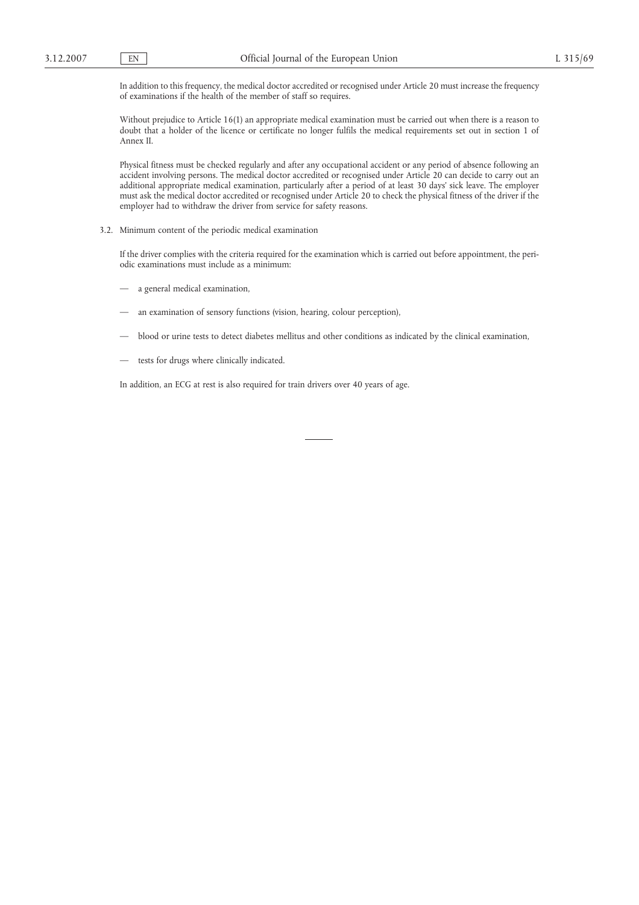In addition to this frequency, the medical doctor accredited or recognised under Article 20 must increase the frequency of examinations if the health of the member of staff so requires.

Without prejudice to Article 16(1) an appropriate medical examination must be carried out when there is a reason to doubt that a holder of the licence or certificate no longer fulfils the medical requirements set out in section 1 of Annex II.

Physical fitness must be checked regularly and after any occupational accident or any period of absence following an accident involving persons. The medical doctor accredited or recognised under Article 20 can decide to carry out an additional appropriate medical examination, particularly after a period of at least 30 days' sick leave. The employer must ask the medical doctor accredited or recognised under Article 20 to check the physical fitness of the driver if the employer had to withdraw the driver from service for safety reasons.

3.2. Minimum content of the periodic medical examination

If the driver complies with the criteria required for the examination which is carried out before appointment, the periodic examinations must include as a minimum:

- a general medical examination,
- an examination of sensory functions (vision, hearing, colour perception),
- blood or urine tests to detect diabetes mellitus and other conditions as indicated by the clinical examination,
- tests for drugs where clinically indicated.

In addition, an ECG at rest is also required for train drivers over 40 years of age.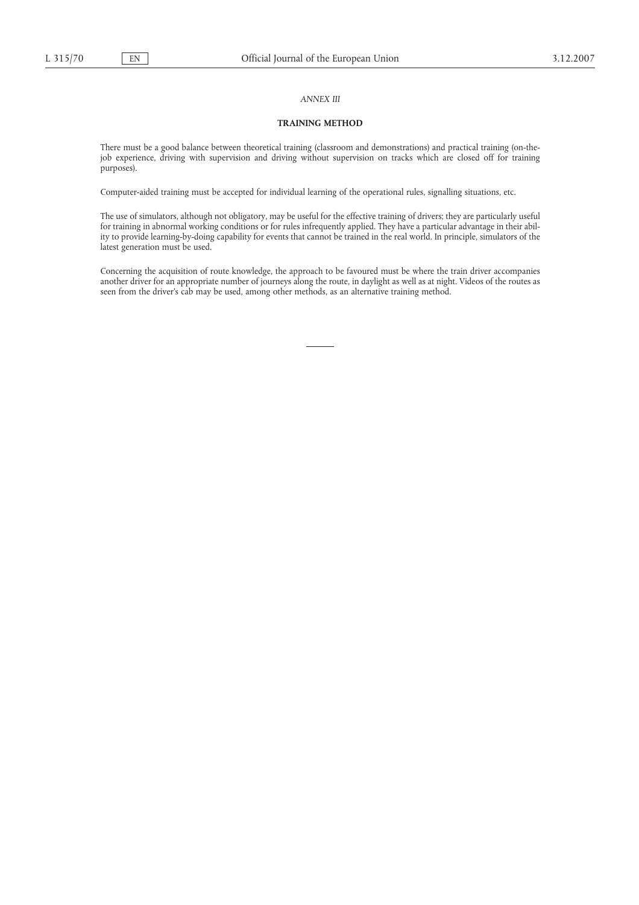## *ANNEX III*

## **TRAINING METHOD**

There must be a good balance between theoretical training (classroom and demonstrations) and practical training (on-thejob experience, driving with supervision and driving without supervision on tracks which are closed off for training purposes).

Computer-aided training must be accepted for individual learning of the operational rules, signalling situations, etc.

The use of simulators, although not obligatory, may be useful for the effective training of drivers; they are particularly useful for training in abnormal working conditions or for rules infrequently applied. They have a particular advantage in their ability to provide learning-by-doing capability for events that cannot be trained in the real world. In principle, simulators of the latest generation must be used.

Concerning the acquisition of route knowledge, the approach to be favoured must be where the train driver accompanies another driver for an appropriate number of journeys along the route, in daylight as well as at night. Videos of the routes as seen from the driver's cab may be used, among other methods, as an alternative training method.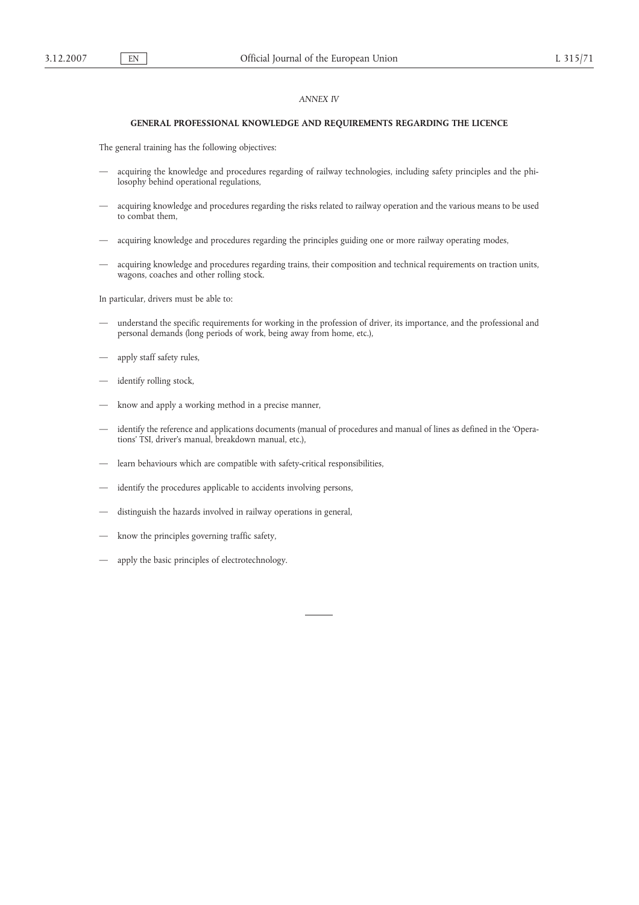## *ANNEX IV*

# **GENERAL PROFESSIONAL KNOWLEDGE AND REQUIREMENTS REGARDING THE LICENCE**

The general training has the following objectives:

- acquiring the knowledge and procedures regarding of railway technologies, including safety principles and the philosophy behind operational regulations,
- acquiring knowledge and procedures regarding the risks related to railway operation and the various means to be used to combat them,
- acquiring knowledge and procedures regarding the principles guiding one or more railway operating modes,
- acquiring knowledge and procedures regarding trains, their composition and technical requirements on traction units, wagons, coaches and other rolling stock.

In particular, drivers must be able to:

- understand the specific requirements for working in the profession of driver, its importance, and the professional and personal demands (long periods of work, being away from home, etc.),
- apply staff safety rules,
- identify rolling stock,
- know and apply a working method in a precise manner,
- identify the reference and applications documents (manual of procedures and manual of lines as defined in the 'Operations' TSI, driver's manual, breakdown manual, etc.),
- learn behaviours which are compatible with safety-critical responsibilities,
- identify the procedures applicable to accidents involving persons,
- distinguish the hazards involved in railway operations in general,
- know the principles governing traffic safety,
- apply the basic principles of electrotechnology.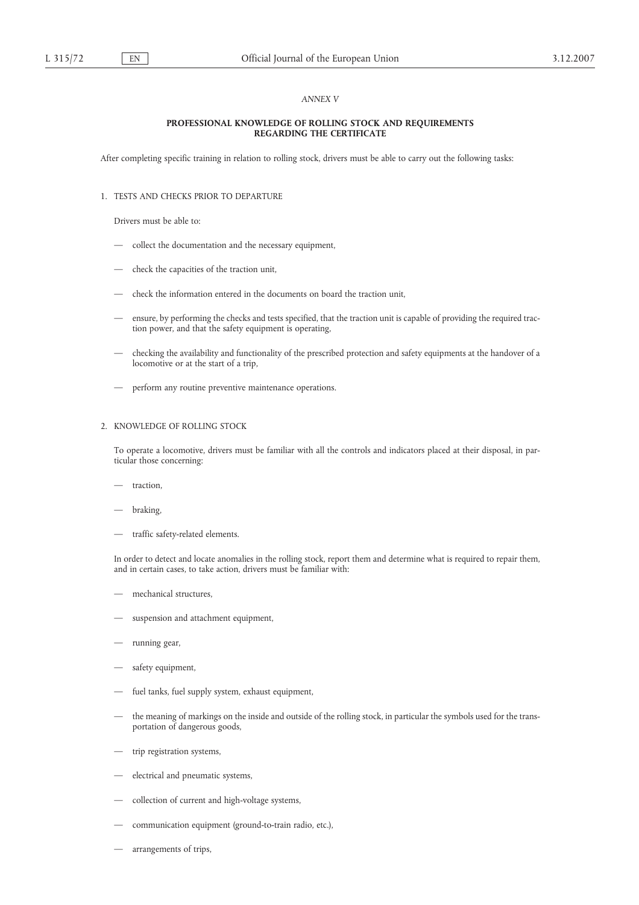## *ANNEX V*

## **PROFESSIONAL KNOWLEDGE OF ROLLING STOCK AND REQUIREMENTS REGARDING THE CERTIFICATE**

After completing specific training in relation to rolling stock, drivers must be able to carry out the following tasks:

# 1. TESTS AND CHECKS PRIOR TO DEPARTURE

Drivers must be able to:

- collect the documentation and the necessary equipment,
- check the capacities of the traction unit,
- check the information entered in the documents on board the traction unit,
- ensure, by performing the checks and tests specified, that the traction unit is capable of providing the required traction power, and that the safety equipment is operating,
- checking the availability and functionality of the prescribed protection and safety equipments at the handover of a locomotive or at the start of a trip,
- perform any routine preventive maintenance operations.

## 2. KNOWLEDGE OF ROLLING STOCK

To operate a locomotive, drivers must be familiar with all the controls and indicators placed at their disposal, in particular those concerning:

- traction,
- braking,
- traffic safety-related elements.

In order to detect and locate anomalies in the rolling stock, report them and determine what is required to repair them, and in certain cases, to take action, drivers must be familiar with:

- mechanical structures,
- suspension and attachment equipment,
- running gear,
- safety equipment,
- fuel tanks, fuel supply system, exhaust equipment,
- the meaning of markings on the inside and outside of the rolling stock, in particular the symbols used for the transportation of dangerous goods,
- trip registration systems,
- electrical and pneumatic systems,
- collection of current and high-voltage systems,
- communication equipment (ground-to-train radio, etc.),
- arrangements of trips,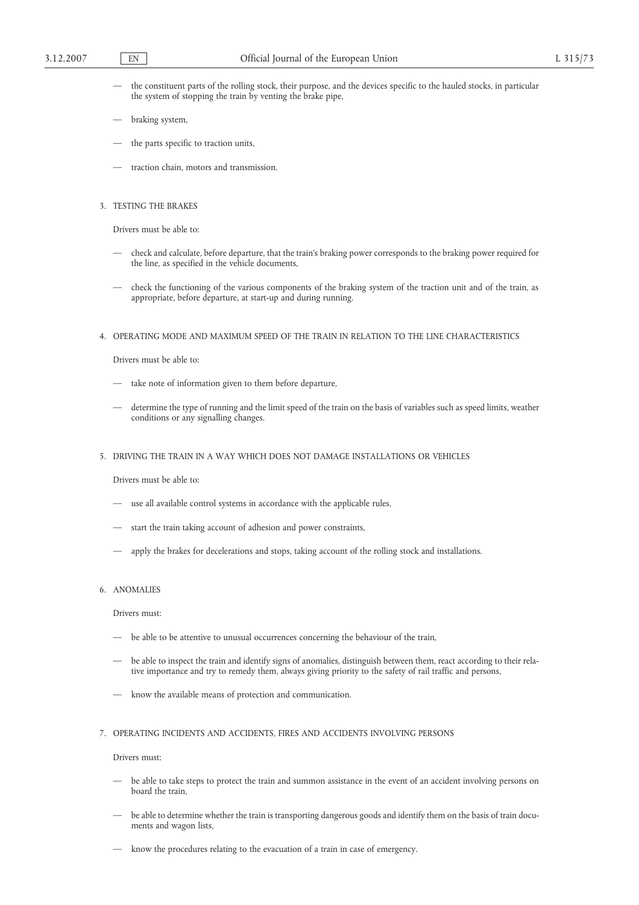- the constituent parts of the rolling stock, their purpose, and the devices specific to the hauled stocks, in particular the system of stopping the train by venting the brake pipe,
- braking system,
- the parts specific to traction units,
- traction chain, motors and transmission.
- 3. TESTING THE BRAKES

Drivers must be able to:

- check and calculate, before departure, that the train's braking power corresponds to the braking power required for the line, as specified in the vehicle documents,
- check the functioning of the various components of the braking system of the traction unit and of the train, as appropriate, before departure, at start-up and during running.

## 4. OPERATING MODE AND MAXIMUM SPEED OF THE TRAIN IN RELATION TO THE LINE CHARACTERISTICS

Drivers must be able to:

- take note of information given to them before departure,
- determine the type of running and the limit speed of the train on the basis of variables such as speed limits, weather conditions or any signalling changes.
- 5. DRIVING THE TRAIN IN A WAY WHICH DOES NOT DAMAGE INSTALLATIONS OR VEHICLES

Drivers must be able to:

- use all available control systems in accordance with the applicable rules,
- start the train taking account of adhesion and power constraints,
- apply the brakes for decelerations and stops, taking account of the rolling stock and installations.

#### 6. ANOMALIES

Drivers must:

- be able to be attentive to unusual occurrences concerning the behaviour of the train,
- be able to inspect the train and identify signs of anomalies, distinguish between them, react according to their relative importance and try to remedy them, always giving priority to the safety of rail traffic and persons,
- know the available means of protection and communication.
- 7. OPERATING INCIDENTS AND ACCIDENTS, FIRES AND ACCIDENTS INVOLVING PERSONS

Drivers must:

- be able to take steps to protect the train and summon assistance in the event of an accident involving persons on board the train,
- be able to determine whether the train is transporting dangerous goods and identify them on the basis of train documents and wagon lists,
- know the procedures relating to the evacuation of a train in case of emergency.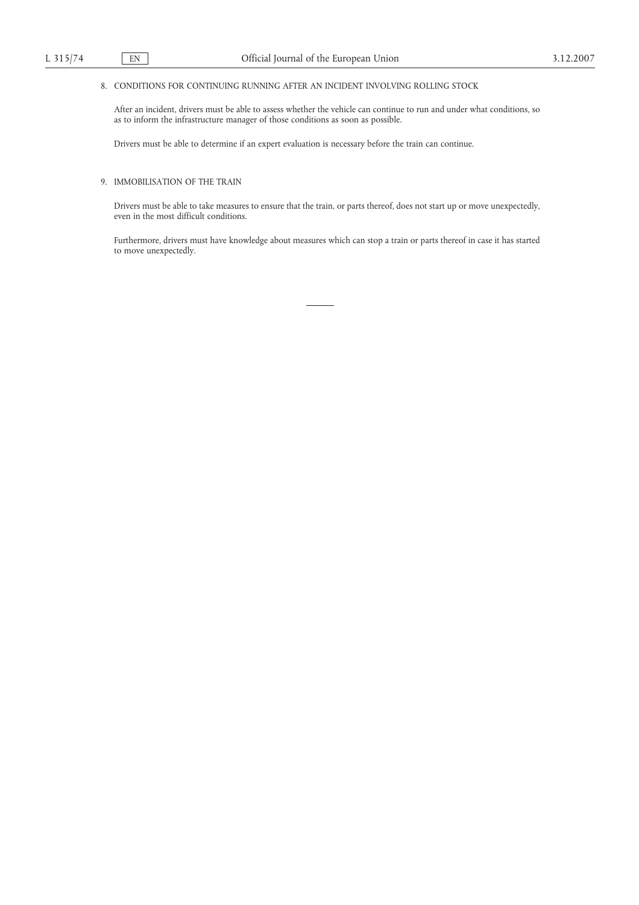# 8. CONDITIONS FOR CONTINUING RUNNING AFTER AN INCIDENT INVOLVING ROLLING STOCK

After an incident, drivers must be able to assess whether the vehicle can continue to run and under what conditions, so as to inform the infrastructure manager of those conditions as soon as possible.

Drivers must be able to determine if an expert evaluation is necessary before the train can continue.

# 9. IMMOBILISATION OF THE TRAIN

Drivers must be able to take measures to ensure that the train, or parts thereof, does not start up or move unexpectedly, even in the most difficult conditions.

Furthermore, drivers must have knowledge about measures which can stop a train or parts thereof in case it has started to move unexpectedly.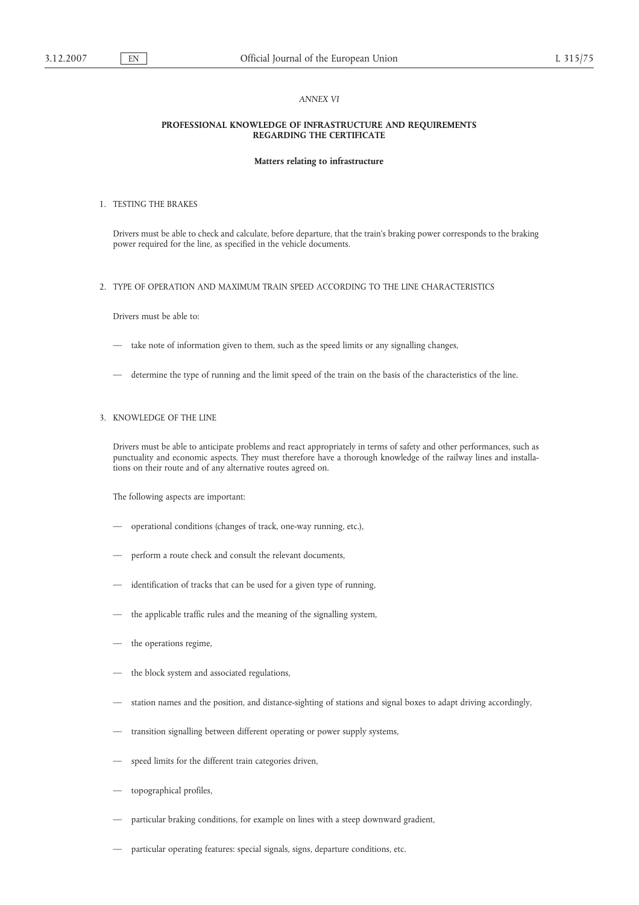## *ANNEX VI*

## **PROFESSIONAL KNOWLEDGE OF INFRASTRUCTURE AND REQUIREMENTS REGARDING THE CERTIFICATE**

#### **Matters relating to infrastructure**

## 1. TESTING THE BRAKES

Drivers must be able to check and calculate, before departure, that the train's braking power corresponds to the braking power required for the line, as specified in the vehicle documents.

## 2. TYPE OF OPERATION AND MAXIMUM TRAIN SPEED ACCORDING TO THE LINE CHARACTERISTICS

Drivers must be able to:

- take note of information given to them, such as the speed limits or any signalling changes,
- determine the type of running and the limit speed of the train on the basis of the characteristics of the line.

# 3. KNOWLEDGE OF THE LINE

Drivers must be able to anticipate problems and react appropriately in terms of safety and other performances, such as punctuality and economic aspects. They must therefore have a thorough knowledge of the railway lines and installations on their route and of any alternative routes agreed on.

The following aspects are important:

- operational conditions (changes of track, one-way running, etc.),
- perform a route check and consult the relevant documents,
- identification of tracks that can be used for a given type of running,
- the applicable traffic rules and the meaning of the signalling system,
- the operations regime,
- the block system and associated regulations,
- station names and the position, and distance-sighting of stations and signal boxes to adapt driving accordingly,
- transition signalling between different operating or power supply systems,
- speed limits for the different train categories driven,
- topographical profiles,
- particular braking conditions, for example on lines with a steep downward gradient,
- particular operating features: special signals, signs, departure conditions, etc.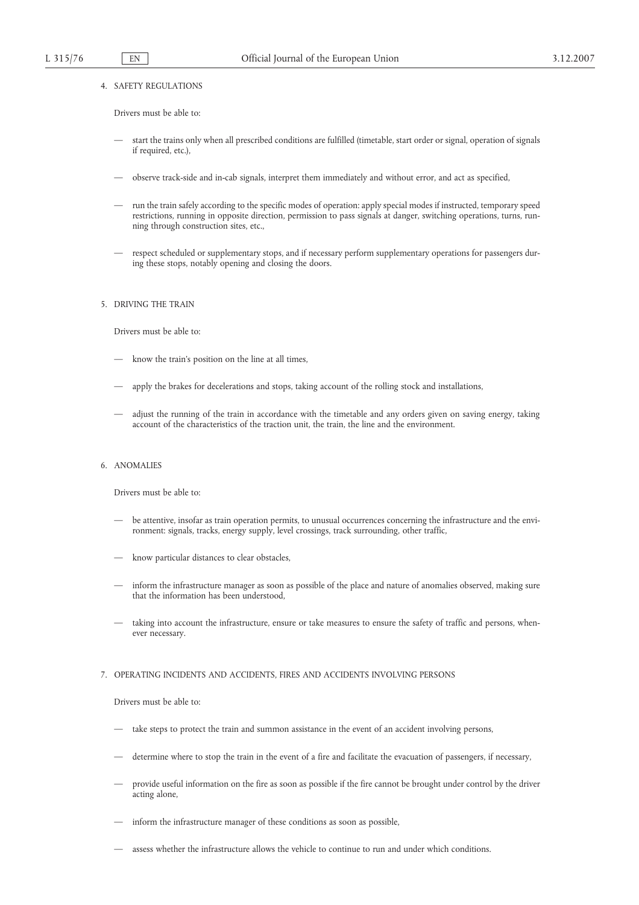## 4. SAFETY REGULATIONS

Drivers must be able to:

- start the trains only when all prescribed conditions are fulfilled (timetable, start order or signal, operation of signals if required, etc.),
- observe track-side and in-cab signals, interpret them immediately and without error, and act as specified,
- run the train safely according to the specific modes of operation: apply special modes if instructed, temporary speed restrictions, running in opposite direction, permission to pass signals at danger, switching operations, turns, running through construction sites, etc.,
- respect scheduled or supplementary stops, and if necessary perform supplementary operations for passengers during these stops, notably opening and closing the doors.

# 5. DRIVING THE TRAIN

Drivers must be able to:

- know the train's position on the line at all times,
- apply the brakes for decelerations and stops, taking account of the rolling stock and installations,
- adjust the running of the train in accordance with the timetable and any orders given on saving energy, taking account of the characteristics of the traction unit, the train, the line and the environment.

# 6. ANOMALIES

Drivers must be able to:

- be attentive, insofar as train operation permits, to unusual occurrences concerning the infrastructure and the environment: signals, tracks, energy supply, level crossings, track surrounding, other traffic,
- know particular distances to clear obstacles,
- inform the infrastructure manager as soon as possible of the place and nature of anomalies observed, making sure that the information has been understood,
- taking into account the infrastructure, ensure or take measures to ensure the safety of traffic and persons, whenever necessary.

## 7. OPERATING INCIDENTS AND ACCIDENTS, FIRES AND ACCIDENTS INVOLVING PERSONS

Drivers must be able to:

- take steps to protect the train and summon assistance in the event of an accident involving persons,
- determine where to stop the train in the event of a fire and facilitate the evacuation of passengers, if necessary,
- provide useful information on the fire as soon as possible if the fire cannot be brought under control by the driver acting alone,
- inform the infrastructure manager of these conditions as soon as possible,
- assess whether the infrastructure allows the vehicle to continue to run and under which conditions.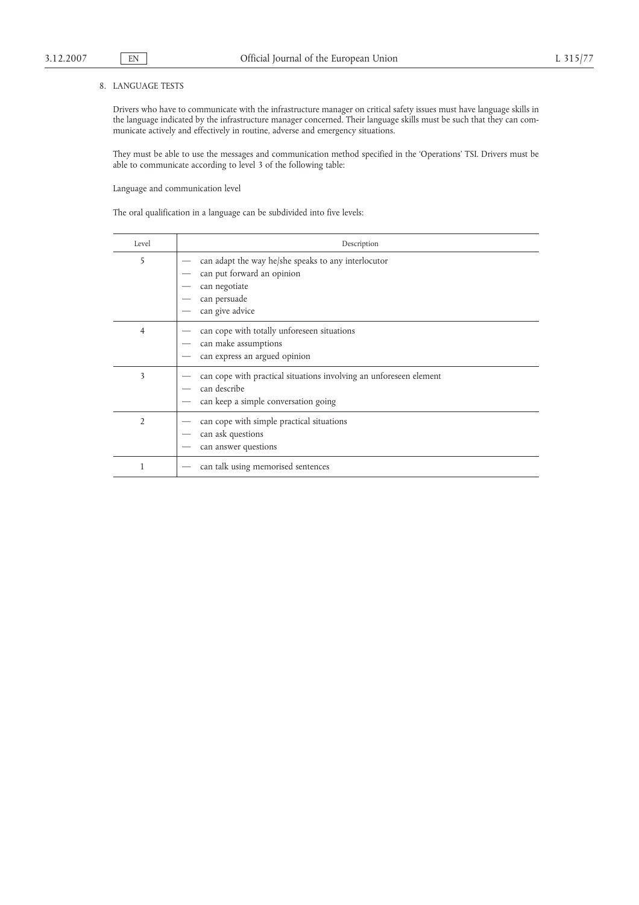# 8. LANGUAGE TESTS

Drivers who have to communicate with the infrastructure manager on critical safety issues must have language skills in the language indicated by the infrastructure manager concerned. Their language skills must be such that they can communicate actively and effectively in routine, adverse and emergency situations.

They must be able to use the messages and communication method specified in the 'Operations' TSI. Drivers must be able to communicate according to level 3 of the following table:

Language and communication level

The oral qualification in a language can be subdivided into five levels:

| Level          | Description                                                                                                                           |
|----------------|---------------------------------------------------------------------------------------------------------------------------------------|
| 5              | can adapt the way he/she speaks to any interlocutor<br>can put forward an opinion<br>can negotiate<br>can persuade<br>can give advice |
| 4              | can cope with totally unforeseen situations<br>can make assumptions<br>can express an argued opinion                                  |
| 3              | can cope with practical situations involving an unforeseen element<br>can describe<br>can keep a simple conversation going            |
| $\overline{2}$ | can cope with simple practical situations<br>can ask questions<br>can answer questions                                                |
|                | can talk using memorised sentences                                                                                                    |